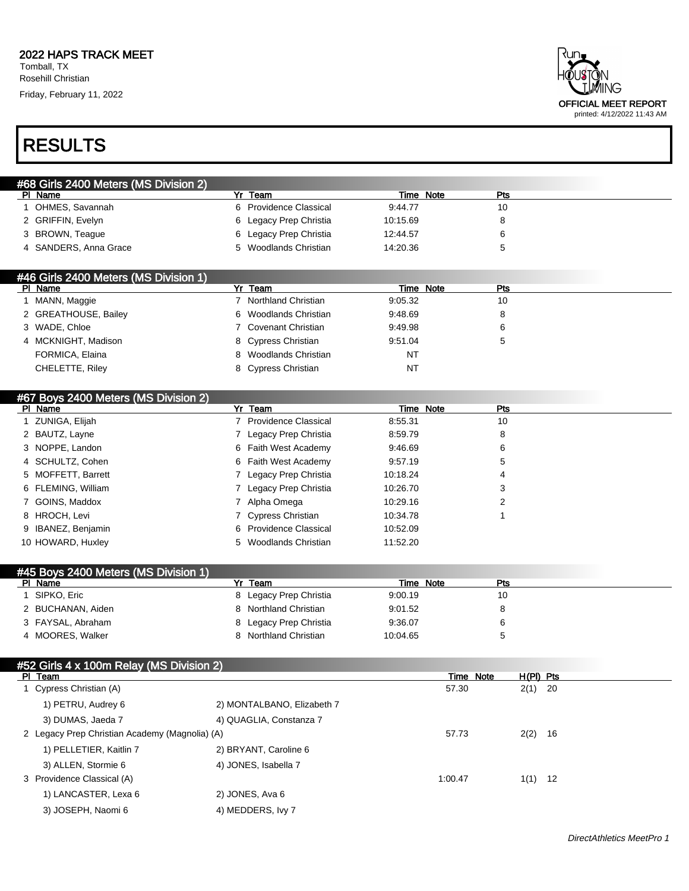Rosehill Christian

Friday, February 11, 2022





| #68 Girls 2400 Meters (MS Division 2) |                        |           |     |  |
|---------------------------------------|------------------------|-----------|-----|--|
| PI Name                               | Yr Team                | Time Note | Pts |  |
| 1 OHMES, Savannah                     | 6 Providence Classical | 9:44.77   | 10  |  |
| 2 GRIFFIN, Evelyn                     | 6 Legacy Prep Christia | 10:15.69  | 8   |  |
| 3 BROWN, Teague                       | 6 Legacy Prep Christia | 12:44.57  | 6   |  |
| 4 SANDERS, Anna Grace                 | 5 Woodlands Christian  | 14:20.36  | 5   |  |
|                                       |                        |           |     |  |
| #46 Girls 2400 Meters (MS Division 1) |                        |           |     |  |
| PI Name                               | Team                   | Time Note | Pts |  |

| PI Name              | Yr Team               | Time Note | Pts |  |
|----------------------|-----------------------|-----------|-----|--|
| MANN, Maggie         | Northland Christian   | 9:05.32   | 10  |  |
| 2 GREATHOUSE, Bailey | 6 Woodlands Christian | 9:48.69   | 8   |  |
| 3 WADE, Chloe        | ' Covenant Christian  | 9:49.98   | 6   |  |
| 4 MCKNIGHT, Madison  | 8 Cypress Christian   | 9:51.04   |     |  |
| FORMICA, Elaina      | 8 Woodlands Christian | NT        |     |  |
| CHELETTE, Riley      | 8 Cypress Christian   | NT        |     |  |
|                      |                       |           |     |  |

#### #67 Boys 2400 Meters (MS Division 2)

| PI Name            | Yr Team                | Time Note | Pts |  |
|--------------------|------------------------|-----------|-----|--|
| 1 ZUNIGA, Elijah   | 7 Providence Classical | 8:55.31   | 10  |  |
| 2 BAUTZ, Layne     | 7 Legacy Prep Christia | 8:59.79   | 8   |  |
| 3 NOPPE, Landon    | 6 Faith West Academy   | 9:46.69   | 6   |  |
| 4 SCHULTZ, Cohen   | 6 Faith West Academy   | 9:57.19   | 5   |  |
| 5 MOFFETT, Barrett | 7 Legacy Prep Christia | 10:18.24  | 4   |  |
| 6 FLEMING, William | 7 Legacy Prep Christia | 10:26.70  | 3   |  |
| 7 GOINS, Maddox    | 7 Alpha Omega          | 10:29.16  |     |  |
| 8 HROCH, Levi      | 7 Cypress Christian    | 10:34.78  |     |  |
| 9 IBANEZ, Benjamin | 6 Providence Classical | 10:52.09  |     |  |
| 10 HOWARD, Huxley  | 5 Woodlands Christian  | 11:52.20  |     |  |

| #45 Boys 2400 Meters (MS Division 1) |                        |              |     |  |
|--------------------------------------|------------------------|--------------|-----|--|
| PI Name                              | Team                   | Note<br>Time | Pts |  |
| SIPKO, Eric                          | 8 Legacy Prep Christia | 9:00.19      | 10  |  |
| 2 BUCHANAN, Aiden                    | 8 Northland Christian  | 9:01.52      |     |  |
| 3 FAYSAL, Abraham                    | 8 Legacy Prep Christia | 9:36.07      |     |  |
| 4 MOORES, Walker                     | Northland Christian    | 10:04.65     | G   |  |

| #52 Girls 4 x 100m Relay (MS Division 2)       |                            |         |           |             |      |
|------------------------------------------------|----------------------------|---------|-----------|-------------|------|
| PI Team                                        |                            |         | Time Note | $H(PI)$ Pts |      |
| 1 Cypress Christian (A)                        |                            | 57.30   |           | $2(1)$ 20   |      |
| 1) PETRU, Audrey 6                             | 2) MONTALBANO, Elizabeth 7 |         |           |             |      |
| 3) DUMAS, Jaeda 7                              | 4) QUAGLIA, Constanza 7    |         |           |             |      |
| 2 Legacy Prep Christian Academy (Magnolia) (A) |                            | 57.73   |           | 2(2)        | - 16 |
| 1) PELLETIER, Kaitlin 7                        | 2) BRYANT, Caroline 6      |         |           |             |      |
| 3) ALLEN, Stormie 6                            | 4) JONES, Isabella 7       |         |           |             |      |
| 3 Providence Classical (A)                     |                            | 1:00.47 |           | 1(1)        | -12  |
| 1) LANCASTER, Lexa 6                           | 2) JONES, Ava 6            |         |           |             |      |
| 3) JOSEPH, Naomi 6                             | 4) MEDDERS, Ivy 7          |         |           |             |      |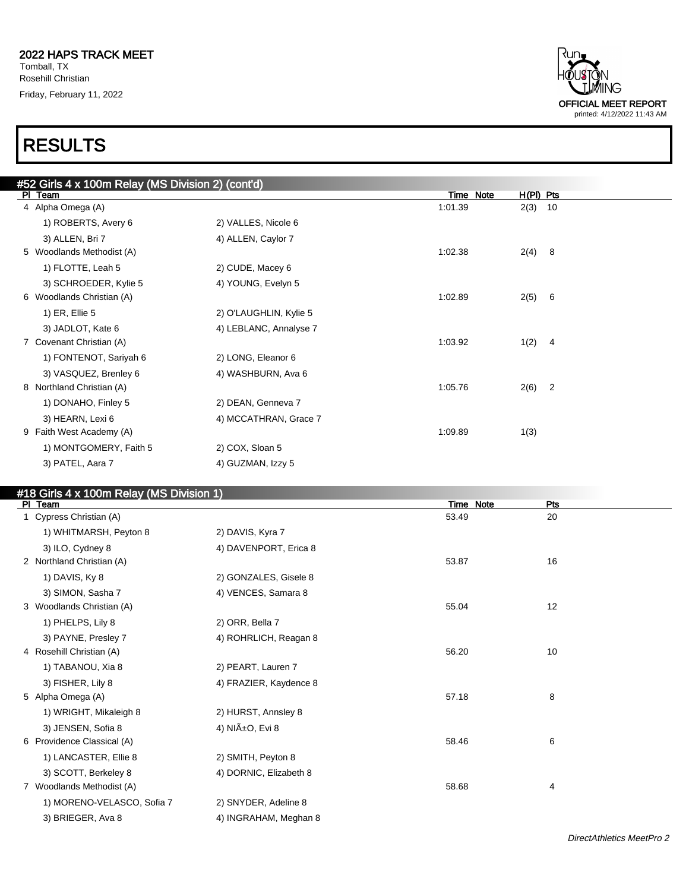### 1ING OFFICIAL MEET REPORT printed: 4/12/2022 11:43 AM

### RESULTS

| #52 Girls 4 x 100m Relay (MS Division 2) (cont'd) |                        |           |             |                |
|---------------------------------------------------|------------------------|-----------|-------------|----------------|
| PI Team                                           |                        | Time Note | $H(PI)$ Pts |                |
| 4 Alpha Omega (A)                                 |                        | 1:01.39   | 2(3)        | 10             |
| 1) ROBERTS, Avery 6                               | 2) VALLES, Nicole 6    |           |             |                |
| 3) ALLEN, Bri 7                                   | 4) ALLEN, Caylor 7     |           |             |                |
| 5 Woodlands Methodist (A)                         |                        | 1:02.38   | 2(4)        | 8              |
| 1) FLOTTE, Leah 5                                 | 2) CUDE, Macey 6       |           |             |                |
| 3) SCHROEDER, Kylie 5                             | 4) YOUNG, Evelyn 5     |           |             |                |
| 6 Woodlands Christian (A)                         |                        | 1:02.89   | 2(5)        | - 6            |
| 1) ER, Ellie 5                                    | 2) O'LAUGHLIN, Kylie 5 |           |             |                |
| 3) JADLOT, Kate 6                                 | 4) LEBLANC, Annalyse 7 |           |             |                |
| 7 Covenant Christian (A)                          |                        | 1:03.92   | 1(2)        | $\overline{4}$ |
| 1) FONTENOT, Sariyah 6                            | 2) LONG, Eleanor 6     |           |             |                |
| 3) VASQUEZ, Brenley 6                             | 4) WASHBURN, Ava 6     |           |             |                |
| 8 Northland Christian (A)                         |                        | 1:05.76   | $2(6)$ 2    |                |
| 1) DONAHO, Finley 5                               | 2) DEAN, Genneva 7     |           |             |                |
| 3) HEARN, Lexi 6                                  | 4) MCCATHRAN, Grace 7  |           |             |                |
| 9 Faith West Academy (A)                          |                        | 1:09.89   | 1(3)        |                |
| 1) MONTGOMERY, Faith 5                            | 2) COX, Sloan 5        |           |             |                |
| 3) PATEL, Aara 7                                  | 4) GUZMAN, Izzy 5      |           |             |                |

#### #18 Girls 4 x 100m Relay (MS Division 1)

| $\frac{1}{2}$<br>PI Team   |                        | Time Note | <b>Pts</b> |  |
|----------------------------|------------------------|-----------|------------|--|
| 1 Cypress Christian (A)    |                        | 53.49     | 20         |  |
| 1) WHITMARSH, Peyton 8     | 2) DAVIS, Kyra 7       |           |            |  |
| 3) ILO, Cydney 8           | 4) DAVENPORT, Erica 8  |           |            |  |
| 2 Northland Christian (A)  |                        | 53.87     | 16         |  |
| 1) DAVIS, Ky 8             | 2) GONZALES, Gisele 8  |           |            |  |
| 3) SIMON, Sasha 7          | 4) VENCES, Samara 8    |           |            |  |
| 3 Woodlands Christian (A)  |                        | 55.04     | 12         |  |
| 1) PHELPS, Lily 8          | 2) ORR, Bella 7        |           |            |  |
| 3) PAYNE, Presley 7        | 4) ROHRLICH, Reagan 8  |           |            |  |
| 4 Rosehill Christian (A)   |                        | 56.20     | 10         |  |
| 1) TABANOU, Xia 8          | 2) PEART, Lauren 7     |           |            |  |
| 3) FISHER, Lily 8          | 4) FRAZIER, Kaydence 8 |           |            |  |
| 5 Alpha Omega (A)          |                        | 57.18     | 8          |  |
| 1) WRIGHT, Mikaleigh 8     | 2) HURST, Annsley 8    |           |            |  |
| 3) JENSEN, Sofia 8         | 4) NIñO, Evi 8         |           |            |  |
| 6 Providence Classical (A) |                        | 58.46     | 6          |  |
| 1) LANCASTER, Ellie 8      | 2) SMITH, Peyton 8     |           |            |  |
| 3) SCOTT, Berkeley 8       | 4) DORNIC, Elizabeth 8 |           |            |  |
| 7 Woodlands Methodist (A)  |                        | 58.68     | 4          |  |
| 1) MORENO-VELASCO, Sofia 7 | 2) SNYDER, Adeline 8   |           |            |  |
| 3) BRIEGER, Ava 8          | 4) INGRAHAM, Meghan 8  |           |            |  |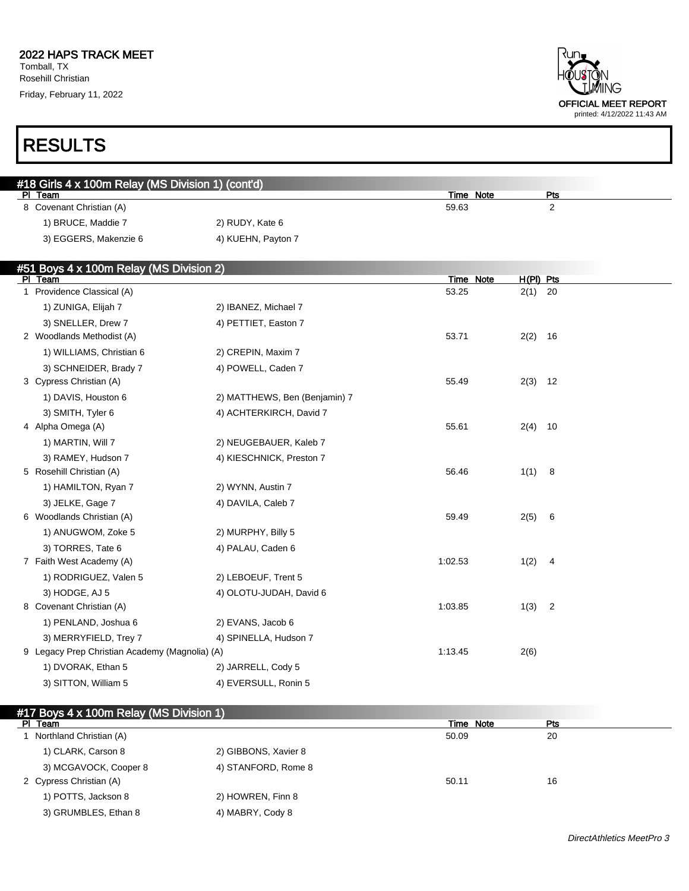Rosehill Christian Friday, February 11, 2022



### RESULTS

| #18 Girls 4 x 100m Relay (MS Division 1) (cont'd) |                    |           |     |
|---------------------------------------------------|--------------------|-----------|-----|
| PI Team                                           |                    | Time Note | Pts |
| 8 Covenant Christian (A)                          |                    | 59.63     |     |
| 1) BRUCE, Maddie 7                                | 2) RUDY, Kate 6    |           |     |
| 3) EGGERS, Makenzie 6                             | 4) KUEHN, Payton 7 |           |     |
|                                                   |                    |           |     |

#### #51 Boys 4 x 100m Relay (MS Division 2)

| PI Team                                        |                               | Time Note | $H(PI)$ Pts |                |
|------------------------------------------------|-------------------------------|-----------|-------------|----------------|
| 1 Providence Classical (A)                     |                               | 53.25     | $2(1)$ 20   |                |
| 1) ZUNIGA, Elijah 7                            | 2) IBANEZ, Michael 7          |           |             |                |
| 3) SNELLER, Drew 7                             | 4) PETTIET, Easton 7          |           |             |                |
| 2 Woodlands Methodist (A)                      |                               | 53.71     | $2(2)$ 16   |                |
| 1) WILLIAMS, Christian 6                       | 2) CREPIN, Maxim 7            |           |             |                |
| 3) SCHNEIDER, Brady 7                          | 4) POWELL, Caden 7            |           |             |                |
| 3 Cypress Christian (A)                        |                               | 55.49     | $2(3)$ 12   |                |
| 1) DAVIS, Houston 6                            | 2) MATTHEWS, Ben (Benjamin) 7 |           |             |                |
| 3) SMITH, Tyler 6                              | 4) ACHTERKIRCH, David 7       |           |             |                |
| 4 Alpha Omega (A)                              |                               | 55.61     | $2(4)$ 10   |                |
| 1) MARTIN, Will 7                              | 2) NEUGEBAUER, Kaleb 7        |           |             |                |
| 3) RAMEY, Hudson 7                             | 4) KIESCHNICK, Preston 7      |           |             |                |
| 5 Rosehill Christian (A)                       |                               | 56.46     | 1(1) 8      |                |
| 1) HAMILTON, Ryan 7                            | 2) WYNN, Austin 7             |           |             |                |
| 3) JELKE, Gage 7                               | 4) DAVILA, Caleb 7            |           |             |                |
| 6 Woodlands Christian (A)                      |                               | 59.49     | 2(5)        | 6              |
| 1) ANUGWOM, Zoke 5                             | 2) MURPHY, Billy 5            |           |             |                |
| 3) TORRES, Tate 6                              | 4) PALAU, Caden 6             |           |             |                |
| 7 Faith West Academy (A)                       |                               | 1:02.53   | 1(2)        | $\overline{4}$ |
| 1) RODRIGUEZ, Valen 5                          | 2) LEBOEUF, Trent 5           |           |             |                |
| 3) HODGE, AJ 5                                 | 4) OLOTU-JUDAH, David 6       |           |             |                |
| 8 Covenant Christian (A)                       |                               | 1:03.85   | $1(3)$ 2    |                |
| 1) PENLAND, Joshua 6                           | 2) EVANS, Jacob 6             |           |             |                |
| 3) MERRYFIELD, Trey 7                          | 4) SPINELLA, Hudson 7         |           |             |                |
| 9 Legacy Prep Christian Academy (Magnolia) (A) |                               | 1:13.45   | 2(6)        |                |
| 1) DVORAK, Ethan 5                             | 2) JARRELL, Cody 5            |           |             |                |
| 3) SITTON, William 5                           | 4) EVERSULL, Ronin 5          |           |             |                |

#### #17 Boys 4 x 100m Relay (MS Division 1)

| PI Team                 |                      | Time Note | Pts |
|-------------------------|----------------------|-----------|-----|
| Northland Christian (A) |                      | 50.09     | 20  |
| 1) CLARK, Carson 8      | 2) GIBBONS, Xavier 8 |           |     |
| 3) MCGAVOCK, Cooper 8   | 4) STANFORD, Rome 8  |           |     |
| 2 Cypress Christian (A) |                      | 50.11     | 16  |
| 1) POTTS, Jackson 8     | 2) HOWREN, Finn 8    |           |     |
| 3) GRUMBLES, Ethan 8    | 4) MABRY, Cody 8     |           |     |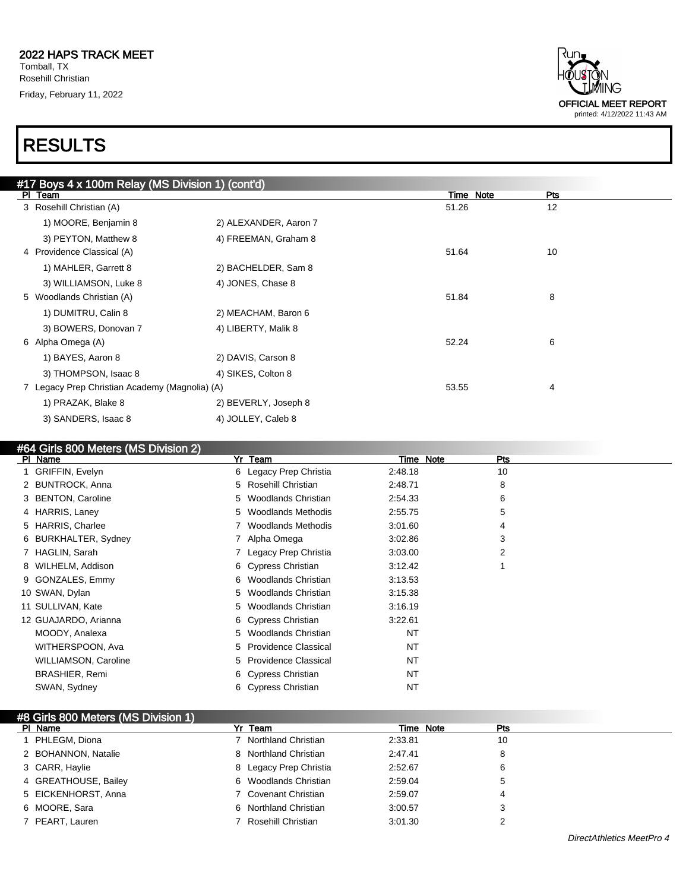

| #17 Boys 4 x 100m Relay (MS Division 1) (cont'd) |                                                |                       |           |     |
|--------------------------------------------------|------------------------------------------------|-----------------------|-----------|-----|
|                                                  | PI Team                                        |                       | Time Note | Pts |
|                                                  | 3 Rosehill Christian (A)                       |                       | 51.26     | 12  |
|                                                  | 1) MOORE, Benjamin 8                           | 2) ALEXANDER, Aaron 7 |           |     |
|                                                  | 3) PEYTON, Matthew 8                           | 4) FREEMAN, Graham 8  |           |     |
|                                                  | 4 Providence Classical (A)                     |                       | 51.64     | 10  |
|                                                  | 1) MAHLER, Garrett 8                           | 2) BACHELDER, Sam 8   |           |     |
|                                                  | 3) WILLIAMSON, Luke 8                          | 4) JONES, Chase 8     |           |     |
|                                                  | 5 Woodlands Christian (A)                      |                       | 51.84     | 8   |
|                                                  | 1) DUMITRU, Calin 8                            | 2) MEACHAM, Baron 6   |           |     |
|                                                  | 3) BOWERS, Donovan 7                           | 4) LIBERTY, Malik 8   |           |     |
|                                                  | 6 Alpha Omega (A)                              |                       | 52.24     | 6   |
|                                                  | 1) BAYES, Aaron 8                              | 2) DAVIS, Carson 8    |           |     |
|                                                  | 3) THOMPSON, Isaac 8                           | 4) SIKES, Colton 8    |           |     |
|                                                  | 7 Legacy Prep Christian Academy (Magnolia) (A) |                       | 53.55     | 4   |
|                                                  | 1) PRAZAK, Blake 8                             | 2) BEVERLY, Joseph 8  |           |     |
|                                                  | 3) SANDERS, Isaac 8                            | 4) JOLLEY, Caleb 8    |           |     |
|                                                  |                                                |                       |           |     |

| #64 Girls 800 Meters (MS Division 2) |                                  |                     |     |
|--------------------------------------|----------------------------------|---------------------|-----|
| PI Name                              | Team<br>Yr                       | <b>Note</b><br>Time | Pts |
| 1 GRIFFIN, Evelyn                    | 6 Legacy Prep Christia           | 2:48.18             | 10  |
| 2 BUNTROCK, Anna                     | Rosehill Christian<br>5          | 2:48.71             | 8   |
| 3 BENTON, Caroline                   | Woodlands Christian<br>5         | 2:54.33             | 6   |
| 4 HARRIS, Laney                      | <b>Woodlands Methodis</b><br>5   | 2:55.75             | 5   |
| 5 HARRIS, Charlee                    | <b>Woodlands Methodis</b>        | 3:01.60             | 4   |
| 6 BURKHALTER, Sydney                 | Alpha Omega                      | 3:02.86             | 3   |
| 7 HAGLIN, Sarah                      | Legacy Prep Christia             | 3:03.00             | 2   |
| 8 WILHELM, Addison                   | 6 Cypress Christian              | 3:12.42             |     |
| 9 GONZALES, Emmy                     | Woodlands Christian<br>6         | 3:13.53             |     |
| 10 SWAN, Dylan                       | Woodlands Christian<br>5         | 3:15.38             |     |
| 11 SULLIVAN, Kate                    | Woodlands Christian<br>5         | 3:16.19             |     |
| 12 GUAJARDO, Arianna                 | 6 Cypress Christian              | 3:22.61             |     |
| MOODY, Analexa                       | Woodlands Christian<br>5         | <b>NT</b>           |     |
| WITHERSPOON, Ava                     | <b>Providence Classical</b><br>5 | NT                  |     |
| <b>WILLIAMSON, Caroline</b>          | <b>Providence Classical</b><br>5 | NT                  |     |
| <b>BRASHIER, Remi</b>                | Cypress Christian<br>6           | NT                  |     |
| SWAN, Sydney                         | Cypress Christian<br>6           | NT                  |     |

| #8 Girls 800 Meters (MS Division 1) |                        |           |     |
|-------------------------------------|------------------------|-----------|-----|
| PI Name                             | Yr Team                | Time Note | Pts |
| PHLEGM, Diona                       | 7 Northland Christian  | 2:33.81   | 10  |
| 2 BOHANNON, Natalie                 | 8 Northland Christian  | 2:47.41   | 8   |
| 3 CARR, Haylie                      | 8 Legacy Prep Christia | 2:52.67   | 6   |
| 4 GREATHOUSE, Bailey                | 6 Woodlands Christian  | 2:59.04   |     |
| 5 EICKENHORST, Anna                 | 7 Covenant Christian   | 2:59.07   |     |
| 6 MOORE, Sara                       | 6 Northland Christian  | 3:00.57   |     |
| 7 PEART, Lauren                     | 7 Rosehill Christian   | 3:01.30   |     |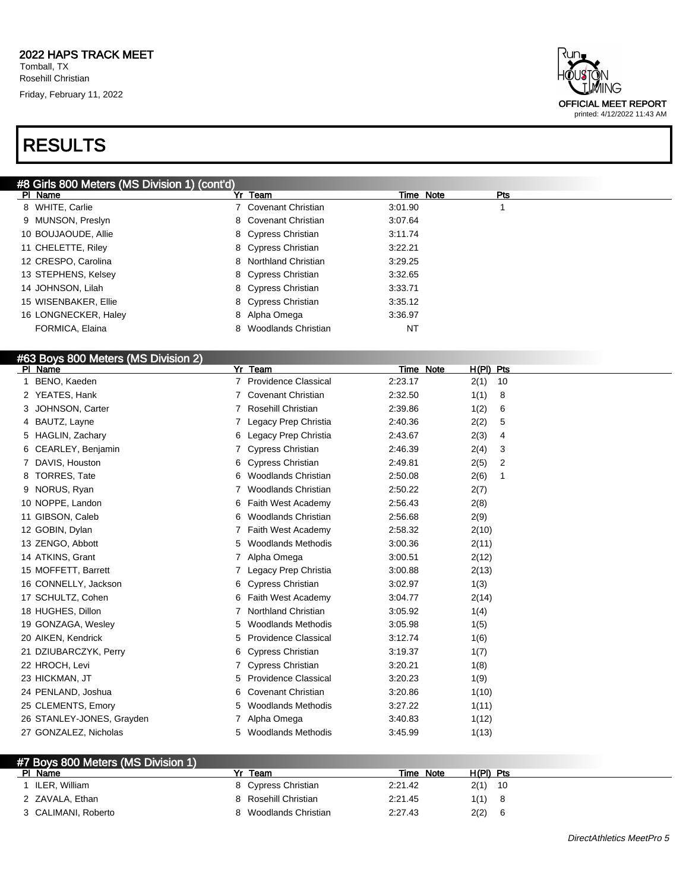### RESULTS



| #8 Girls 800 Meters (MS Division 1) (cont'd) |                       |         |           |            |  |
|----------------------------------------------|-----------------------|---------|-----------|------------|--|
| PI Name                                      | Yr Team               |         | Time Note | <b>Pts</b> |  |
| 8 WHITE, Carlie                              | 7 Covenant Christian  | 3:01.90 |           |            |  |
| 9 MUNSON, Preslyn                            | 8 Covenant Christian  | 3:07.64 |           |            |  |
| 10 BOUJAOUDE, Allie                          | 8 Cypress Christian   | 3:11.74 |           |            |  |
| 11 CHELETTE, Riley                           | 8 Cypress Christian   | 3:22.21 |           |            |  |
| 12 CRESPO, Carolina                          | 8 Northland Christian | 3:29.25 |           |            |  |
| 13 STEPHENS, Kelsey                          | 8 Cypress Christian   | 3:32.65 |           |            |  |
| 14 JOHNSON, Lilah                            | 8 Cypress Christian   | 3:33.71 |           |            |  |
| 15 WISENBAKER, Ellie                         | 8 Cypress Christian   | 3:35.12 |           |            |  |
| 16 LONGNECKER, Haley                         | 8 Alpha Omega         | 3:36.97 |           |            |  |
| FORMICA, Elaina                              | Woodlands Christian   | NT      |           |            |  |

#### #63 Boys 800 Meters (MS Division 2)

| Yr Team                          | Time Note | $H(PI)$ Pts            |
|----------------------------------|-----------|------------------------|
| <b>Providence Classical</b>      | 2:23.17   | 2(1)<br>10             |
| <b>Covenant Christian</b>        | 2:32.50   | 1(1)<br>8              |
| Rosehill Christian               | 2:39.86   | 1(2)<br>6              |
| Legacy Prep Christia             | 2:40.36   | 2(2)<br>5              |
| Legacy Prep Christia<br>6        | 2:43.67   | 2(3)<br>4              |
| <b>Cypress Christian</b>         | 2:46.39   | 2(4)<br>3              |
| <b>Cypress Christian</b><br>6    | 2:49.81   | $\overline{2}$<br>2(5) |
| <b>Woodlands Christian</b><br>6  | 2:50.08   | 2(6)<br>1              |
| <b>Woodlands Christian</b>       | 2:50.22   | 2(7)                   |
| Faith West Academy<br>6          | 2:56.43   | 2(8)                   |
| <b>Woodlands Christian</b><br>6  | 2:56.68   | 2(9)                   |
| Faith West Academy               | 2:58.32   | 2(10)                  |
| <b>Woodlands Methodis</b><br>5   | 3:00.36   | 2(11)                  |
| Alpha Omega                      | 3:00.51   | 2(12)                  |
| Legacy Prep Christia             | 3:00.88   | 2(13)                  |
| <b>Cypress Christian</b><br>6    | 3:02.97   | 1(3)                   |
| Faith West Academy<br>6          | 3:04.77   | 2(14)                  |
| <b>Northland Christian</b>       | 3:05.92   | 1(4)                   |
| <b>Woodlands Methodis</b><br>5   | 3:05.98   | 1(5)                   |
| <b>Providence Classical</b><br>5 | 3:12.74   | 1(6)                   |
| <b>Cypress Christian</b><br>6    | 3:19.37   | 1(7)                   |
| <b>Cypress Christian</b>         | 3:20.21   | 1(8)                   |
| <b>Providence Classical</b><br>5 | 3:20.23   | 1(9)                   |
| <b>Covenant Christian</b><br>6   | 3:20.86   | 1(10)                  |
| <b>Woodlands Methodis</b><br>5   | 3:27.22   | 1(11)                  |
| Alpha Omega                      | 3:40.83   | 1(12)                  |
| <b>Woodlands Methodis</b><br>5   | 3:45.99   | 1(13)                  |
|                                  |           |                        |

| #7 Boys 800 Meters (MS Division 1) |                      |              |             |  |
|------------------------------------|----------------------|--------------|-------------|--|
| PI Name                            | Team                 | Note<br>Time | H(PI) Pts   |  |
| ILER. William                      | 8 Cypress Christian  | 2:21.42      | 2(1)<br>-10 |  |
| 2 ZAVALA, Ethan                    | 8 Rosehill Christian | 2:21.45      | 1(1)        |  |
| 3 CALIMANI, Roberto                | Woodlands Christian  | 2:27.43      | 2(2)        |  |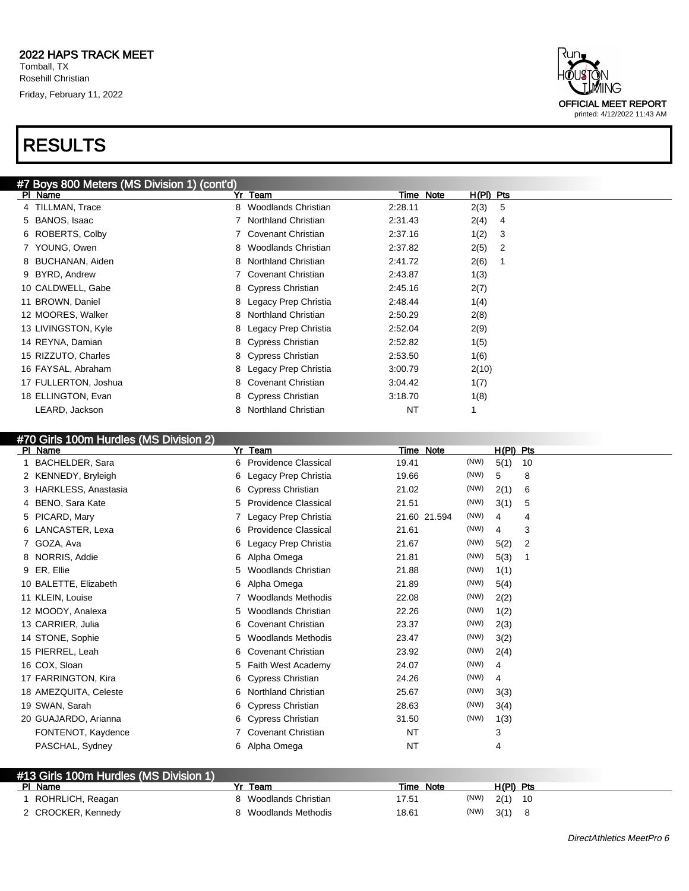

#### #70 Girls 100m Hurdles (MS Division 2)

#13 Girls 100m Hurdles (MS Division 1)

| $\frac{1}{2}$ Toom Francisco (MC Dividion $\mathbb{Z}_p$<br>PI Name | Yr | Team                        |       | Time Note    |      | H(PI) Pts |    |
|---------------------------------------------------------------------|----|-----------------------------|-------|--------------|------|-----------|----|
| <b>BACHELDER, Sara</b>                                              | 6. | <b>Providence Classical</b> | 19.41 |              | (NW) | 5(1)      | 10 |
| 2 KENNEDY, Bryleigh                                                 | 6  | Legacy Prep Christia        | 19.66 |              | (NW) | 5         | 8  |
| 3 HARKLESS, Anastasia                                               | 6  | Cypress Christian           | 21.02 |              | (NW) | 2(1)      | 6  |
| 4 BENO, Sara Kate                                                   | 5. | <b>Providence Classical</b> | 21.51 |              | (NW) | 3(1)      | 5  |
| 5 PICARD, Mary                                                      |    | Legacy Prep Christia        |       | 21.60 21.594 | (NW) | 4         | 4  |
| 6 LANCASTER, Lexa                                                   | 6  | <b>Providence Classical</b> | 21.61 |              | (NW) | 4         | 3  |
| 7 GOZA, Ava                                                         | 6  | Legacy Prep Christia        | 21.67 |              | (NW) | 5(2)      | 2  |
| 8 NORRIS, Addie                                                     | 6  | Alpha Omega                 | 21.81 |              | (NW) | 5(3)      | -1 |
| 9 ER, Ellie                                                         | 5. | Woodlands Christian         | 21.88 |              | (NW) | 1(1)      |    |
| 10 BALETTE, Elizabeth                                               | 6  | Alpha Omega                 | 21.89 |              | (NW) | 5(4)      |    |
| 11 KLEIN, Louise                                                    |    | <b>Woodlands Methodis</b>   | 22.08 |              | (NW) | 2(2)      |    |
| 12 MOODY, Analexa                                                   | 5. | <b>Woodlands Christian</b>  | 22.26 |              | (NW) | 1(2)      |    |
| 13 CARRIER, Julia                                                   | 6. | <b>Covenant Christian</b>   | 23.37 |              | (NW) | 2(3)      |    |
| 14 STONE, Sophie                                                    | 5. | <b>Woodlands Methodis</b>   | 23.47 |              | (NW) | 3(2)      |    |
| 15 PIERREL, Leah                                                    | 6  | <b>Covenant Christian</b>   | 23.92 |              | (NW) | 2(4)      |    |
| 16 COX, Sloan                                                       | 5. | Faith West Academy          | 24.07 |              | (NW) | 4         |    |
| 17 FARRINGTON, Kira                                                 | 6  | <b>Cypress Christian</b>    | 24.26 |              | (NW) | 4         |    |
| 18 AMEZQUITA, Celeste                                               | 6  | <b>Northland Christian</b>  | 25.67 |              | (NW) | 3(3)      |    |
| 19 SWAN, Sarah                                                      | 6  | Cypress Christian           | 28.63 |              | (NW) | 3(4)      |    |
| 20 GUAJARDO, Arianna                                                |    | 6 Cypress Christian         | 31.50 |              | (NW) | 1(3)      |    |
| FONTENOT, Kaydence                                                  |    | 7 Covenant Christian        | NT    |              |      | 3         |    |
| PASCHAL, Sydney                                                     |    | 6 Alpha Omega               | NT    |              |      | 4         |    |
|                                                                     |    |                             |       |              |      |           |    |

| <b>#13 GIRS TUURITTURUIGS (IVIS DIVISION T)</b><br>PI Name | Team                | Time Note     | H(PI) Pts |
|------------------------------------------------------------|---------------------|---------------|-----------|
| ROHRLICH, Reagan                                           | Woodlands Christian | (NW)<br>17.51 | 2(1) 10   |
| 2 CROCKER, Kennedy                                         | Woodlands Methodis  | (NW)<br>18.61 | 3(1)      |



printed: 4/12/2022 11:43 AM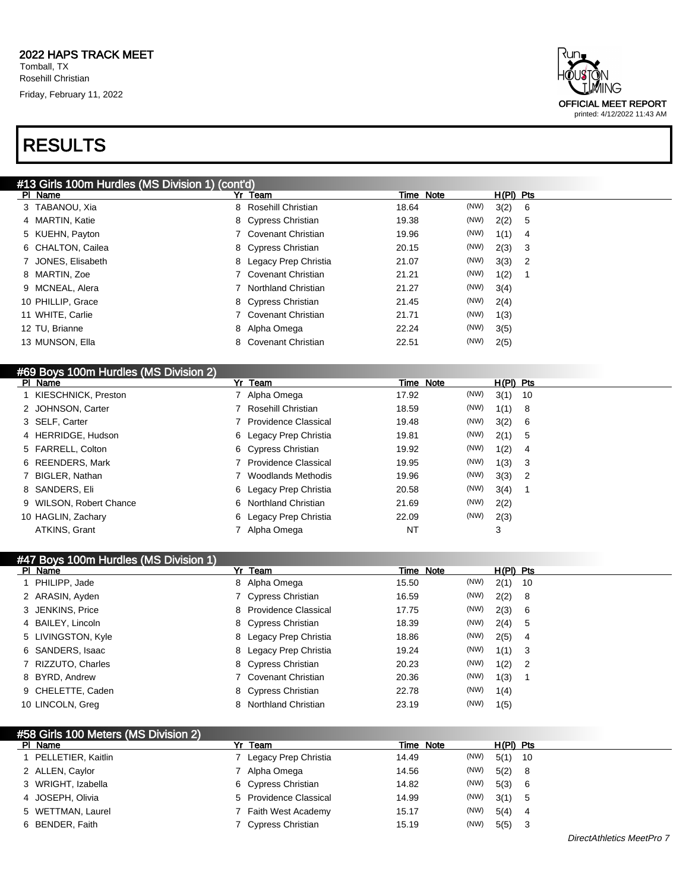

| #13 Girls 100m Hurdles (MS Division 1) (cont'd) |   |                        |       |           |             |                            |
|-------------------------------------------------|---|------------------------|-------|-----------|-------------|----------------------------|
| PI Name                                         |   | Yr Team                |       | Time Note | $H(PI)$ Pts |                            |
| 3 TABANOU, Xia                                  | 8 | Rosehill Christian     | 18.64 | (NW)      | 3(2) 6      |                            |
| 4 MARTIN, Katie                                 |   | 8 Cypress Christian    | 19.38 | (NW)      | 2(2) 5      |                            |
| 5 KUEHN, Payton                                 |   | 7 Covenant Christian   | 19.96 | (NW)      | 1(1)        | - 4                        |
| 6 CHALTON, Cailea                               |   | 8 Cypress Christian    | 20.15 | (NW)      | 2(3)        | - 3                        |
| 7 JONES, Elisabeth                              |   | 8 Legacy Prep Christia | 21.07 | (NW)      | 3(3)        | $\overline{\phantom{0}}^2$ |
| 8 MARTIN, Zoe                                   |   | Covenant Christian     | 21.21 | (NW)      | 1(2)        |                            |
| 9 MCNEAL, Alera                                 |   | 7 Northland Christian  | 21.27 | (NW)      | 3(4)        |                            |
| 10 PHILLIP, Grace                               |   | 8 Cypress Christian    | 21.45 | (NW)      | 2(4)        |                            |
| 11 WHITE, Carlie                                |   | 7 Covenant Christian   | 21.71 | (NW)      | 1(3)        |                            |
| 12 TU, Brianne                                  |   | 8 Alpha Omega          | 22.24 | (NW)      | 3(5)        |                            |
| 13 MUNSON, Ella                                 |   | 8 Covenant Christian   | 22.51 | (NW)      | 2(5)        |                            |

| #69 Boys 100m Hurdles (MS Division 2) |    |                             |       |           |             |     |
|---------------------------------------|----|-----------------------------|-------|-----------|-------------|-----|
| PI Name                               | Yr | Team                        |       | Time Note | $H(PI)$ Pts |     |
| KIESCHNICK, Preston                   |    | Alpha Omega                 | 17.92 | (NW)      | 3(1)        | -10 |
| 2 JOHNSON, Carter                     |    | Rosehill Christian          | 18.59 | (NW)      | 1(1)        | 8   |
| 3 SELF, Carter                        |    | <b>Providence Classical</b> | 19.48 | (NW)      | 3(2)        | 6   |
| 4 HERRIDGE, Hudson                    |    | 6 Legacy Prep Christia      | 19.81 | (NW)      | 2(1)        | 5   |
| 5 FARRELL, Colton                     |    | 6 Cypress Christian         | 19.92 | (NW)      | 1(2)        | 4   |
| 6 REENDERS, Mark                      |    | <b>Providence Classical</b> | 19.95 | (NW)      | 1(3)        | -3  |
| 7 BIGLER, Nathan                      |    | Woodlands Methodis          | 19.96 | (NW)      | 3(3)        | 2   |
| 8 SANDERS, Eli                        |    | 6 Legacy Prep Christia      | 20.58 | (NW)      | 3(4)        |     |
| 9 WILSON, Robert Chance               | 6. | Northland Christian         | 21.69 | (NW)      | 2(2)        |     |
| 10 HAGLIN, Zachary                    |    | 6 Legacy Prep Christia      | 22.09 | (NW)      | 2(3)        |     |
| ATKINS, Grant                         |    | Alpha Omega                 | ΝT    |           | 3           |     |

| #47 Boys 100m Hurdles (MS Division 1) |                                 |               |              |
|---------------------------------------|---------------------------------|---------------|--------------|
| PI Name                               | Yr Team                         | Time Note     | $H(PI)$ Pts  |
| PHILIPP, Jade                         | 8 Alpha Omega                   | (NW)<br>15.50 | 2(1)<br>- 10 |
| 2 ARASIN, Ayden                       | 7 Cypress Christian             | (NW)<br>16.59 | 2(2)<br>8    |
| 3 JENKINS, Price                      | 8 Providence Classical          | (NW)<br>17.75 | 2(3)<br>6    |
| 4 BAILEY, Lincoln                     | 8 Cypress Christian             | (NW)<br>18.39 | 2(4)<br>5    |
| 5 LIVINGSTON, Kyle                    | 8 Legacy Prep Christia          | (NW)<br>18.86 | 2(5)<br>4    |
| 6 SANDERS, Isaac                      | 8 Legacy Prep Christia          | (NW)<br>19.24 | 1(1)<br>-3   |
| 7 RIZZUTO, Charles                    | 8 Cypress Christian             | (NW)<br>20.23 | 1(2)<br>-2   |
| 8 BYRD, Andrew                        | Covenant Christian              | (NW)<br>20.36 | 1(3)         |
| 9 CHELETTE, Caden                     | 8 Cypress Christian             | (NW)<br>22.78 | 1(4)         |
| 10 LINCOLN, Greg                      | <b>Northland Christian</b><br>8 | (NW)<br>23.19 | 1(5)         |

| #58 Girls 100 Meters (MS Division 2) |                        |               |             |
|--------------------------------------|------------------------|---------------|-------------|
| PI Name                              | Yr Team                | Time Note     | $H(PI)$ Pts |
| PELLETIER, Kaitlin                   | 7 Legacy Prep Christia | (NW)<br>14.49 | $5(1)$ 10   |
| 2 ALLEN, Caylor                      | 7 Alpha Omega          | (NW)<br>14.56 | 5(2) 8      |
| 3 WRIGHT, Izabella                   | 6 Cypress Christian    | (NW)<br>14.82 | 5(3) 6      |
| 4 JOSEPH, Olivia                     | 5 Providence Classical | (NW)<br>14.99 | $3(1)$ 5    |
| 5 WETTMAN, Laurel                    | 7 Faith West Academy   | (NW)<br>15.17 | 5(4)<br>- 4 |
| 6 BENDER, Faith                      | 7 Cypress Christian    | (NW)<br>15.19 | $5(5)$ 3    |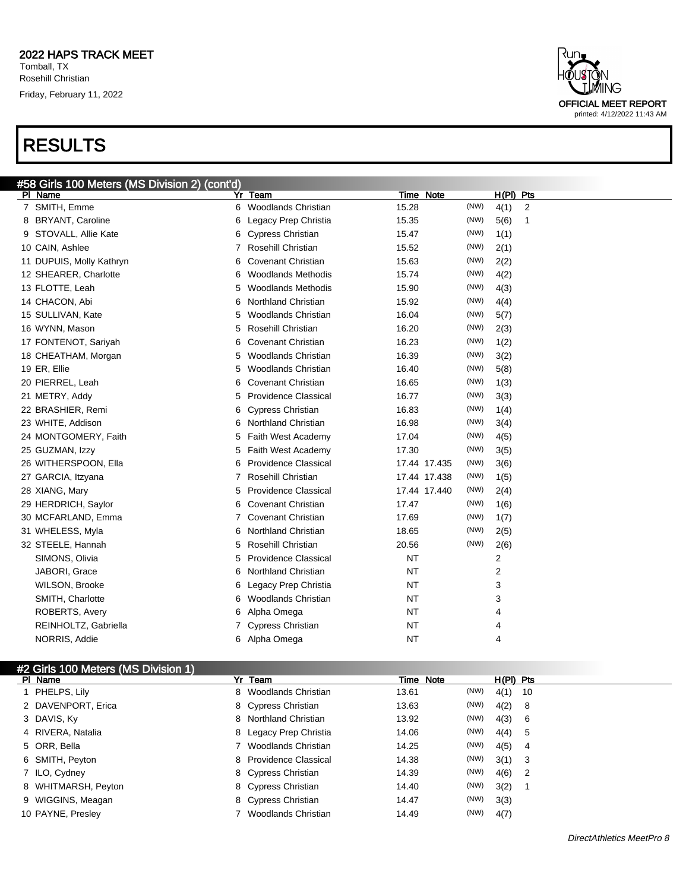

|                     | #2 Girls 100 Meters (MS Division 1) |                        |       |           |             |                |  |
|---------------------|-------------------------------------|------------------------|-------|-----------|-------------|----------------|--|
| PI Name             |                                     | Yr Team                |       | Time Note | $H(PI)$ Pts |                |  |
| 1 PHELPS, Lily      |                                     | 8 Woodlands Christian  | 13.61 | (NW)      | 4(1)        | -10            |  |
| 2 DAVENPORT, Erica  |                                     | 8 Cypress Christian    | 13.63 | (NW)      | 4(2)        | 8              |  |
| 3 DAVIS, Ky         |                                     | 8 Northland Christian  | 13.92 | (NW)      | 4(3)        | - 6            |  |
| 4 RIVERA, Natalia   |                                     | 8 Legacy Prep Christia | 14.06 | (NW)      | 4(4)        | 5              |  |
| 5 ORR, Bella        |                                     | Woodlands Christian    | 14.25 | (NW)      | 4(5)        | 4              |  |
| 6 SMITH, Peyton     |                                     | 8 Providence Classical | 14.38 | (NW)      | 3(1)        | - 3            |  |
| 7 ILO, Cydney       |                                     | 8 Cypress Christian    | 14.39 | (NW)      | 4(6)        | $\overline{2}$ |  |
| 8 WHITMARSH, Peyton |                                     | 8 Cypress Christian    | 14.40 | (NW)      | 3(2)        |                |  |
| 9 WIGGINS, Meagan   |                                     | 8 Cypress Christian    | 14.47 | (NW)      | 3(3)        |                |  |
| 10 PAYNE, Presley   |                                     | Woodlands Christian    | 14.49 | (NW)      | 4(7)        |                |  |

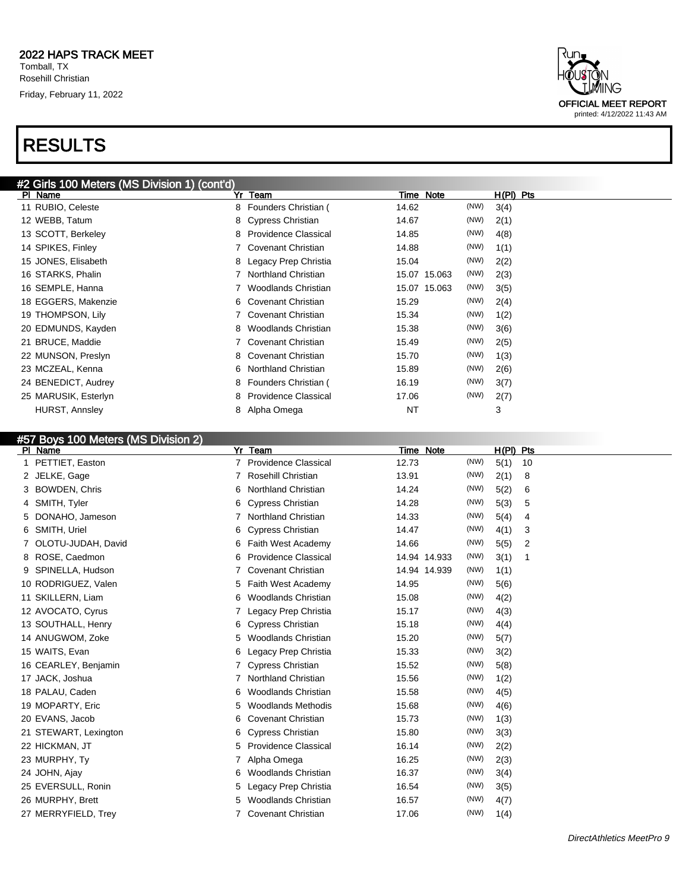

#### #57 Boys 100 Meters (MS Division 2)

| $\sim$ $\sim$ $\sim$ $\sim$ $\sim$ $\sim$<br>PI Name | Yr Team                         |                                      | Time Note            | $H(PI)$ Pts |    |
|------------------------------------------------------|---------------------------------|--------------------------------------|----------------------|-------------|----|
| PETTIET, Easton                                      | 7                               | <b>Providence Classical</b><br>12.73 | (NW)                 | 5(1)        | 10 |
| JELKE, Gage<br>2                                     | Rosehill Christian              | 13.91                                | (NW)                 | 2(1)        | 8  |
| <b>BOWDEN, Chris</b>                                 | <b>Northland Christian</b><br>6 | 14.24                                | (NW)                 | 5(2)        | 6  |
| SMITH, Tyler<br>4                                    | <b>Cypress Christian</b><br>6   | 14.28                                | (NW)                 | 5(3)        | 5  |
| DONAHO, Jameson                                      | <b>Northland Christian</b>      | 14.33                                | (NW)                 | 5(4)        | 4  |
| SMITH, Uriel<br>6                                    | <b>Cypress Christian</b><br>6   | 14.47                                | (NW)                 | 4(1)        | 3  |
| OLOTU-JUDAH, David                                   | 6                               | Faith West Academy<br>14.66          | (NW)                 | 5(5)        | 2  |
| ROSE, Caedmon<br>8                                   | 6                               | <b>Providence Classical</b>          | (NW)<br>14.94 14.933 | 3(1)        | -1 |
| SPINELLA, Hudson                                     | <b>Covenant Christian</b>       |                                      | (NW)<br>14.94 14.939 | 1(1)        |    |
| 10 RODRIGUEZ, Valen                                  | 5                               | 14.95<br>Faith West Academy          | (NW)                 | 5(6)        |    |
| 11 SKILLERN, Liam                                    | 6                               | Woodlands Christian<br>15.08         | (NW)                 | 4(2)        |    |
| 12 AVOCATO, Cyrus                                    |                                 | 15.17<br>Legacy Prep Christia        | (NW)                 | 4(3)        |    |
| 13 SOUTHALL, Henry                                   | <b>Cypress Christian</b><br>6   | 15.18                                | (NW)                 | 4(4)        |    |
| 14 ANUGWOM, Zoke                                     | 5                               | <b>Woodlands Christian</b><br>15.20  | (NW)                 | 5(7)        |    |
| 15 WAITS, Evan                                       | 6                               | Legacy Prep Christia<br>15.33        | (NW)                 | 3(2)        |    |
| 16 CEARLEY, Benjamin                                 | <b>Cypress Christian</b>        | 15.52                                | (NW)                 | 5(8)        |    |
| 17 JACK, Joshua                                      | <b>Northland Christian</b>      | 15.56                                | (NW)                 | 1(2)        |    |
| 18 PALAU, Caden                                      | 6                               | Woodlands Christian<br>15.58         | (NW)                 | 4(5)        |    |
| 19 MOPARTY, Eric                                     | 5                               | <b>Woodlands Methodis</b><br>15.68   | (NW)                 | 4(6)        |    |
| 20 EVANS, Jacob                                      | <b>Covenant Christian</b><br>6  | 15.73                                | (NW)                 | 1(3)        |    |
| 21 STEWART, Lexington                                | <b>Cypress Christian</b><br>6   | 15.80                                | (NW)                 | 3(3)        |    |
| 22 HICKMAN, JT                                       | 5                               | <b>Providence Classical</b><br>16.14 | (NW)                 | 2(2)        |    |
| 23 MURPHY, Ty                                        | Alpha Omega                     | 16.25                                | (NW)                 | 2(3)        |    |
| 24 JOHN, Ajay                                        | 6                               | 16.37<br>Woodlands Christian         | (NW)                 | 3(4)        |    |
| 25 EVERSULL, Ronin                                   | 5                               | Legacy Prep Christia<br>16.54        | (NW)                 | 3(5)        |    |
| 26 MURPHY, Brett                                     | 5                               | <b>Woodlands Christian</b><br>16.57  | (NW)                 | 4(7)        |    |
| 27 MERRYFIELD, Trey                                  | <b>Covenant Christian</b>       | 17.06                                | (NW)                 | 1(4)        |    |

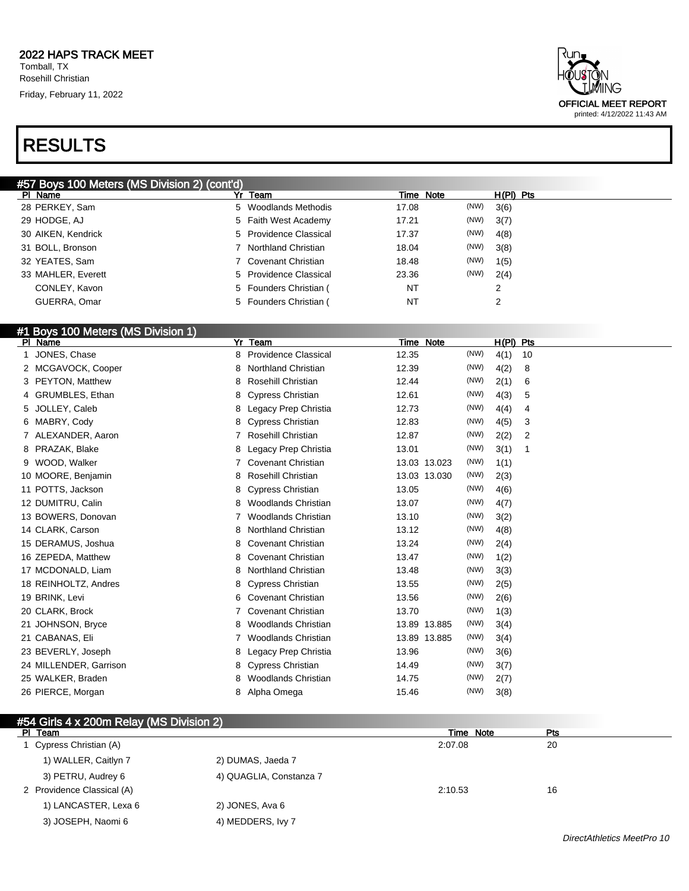### RESULTS

| dun∍<br>HÕUSTÕN<br><b>FLMING</b> |
|----------------------------------|
| OFFICIAL MEET REPORT             |
| printed: 4/12/2022 11:43 AM      |

| $H(PI)$ Pts<br>Time Note<br>Yr<br>Team<br>PI Name<br>(NW)<br>28 PERKEY, Sam<br>3(6)<br>5 Woodlands Methodis<br>17.08<br>(NW)<br>3(7)<br>29 HODGE, AJ<br>5 Faith West Academy<br>17.21<br>(NW)<br>5 Providence Classical<br>4(8)<br>30 AIKEN, Kendrick<br>17.37<br>(NW)<br>3(8)<br>31 BOLL, Bronson<br>Northland Christian<br>18.04<br>(NW)<br>32 YEATES, Sam<br>1(5)<br>7 Covenant Christian<br>18.48<br>(NW)<br>23.36<br>2(4)<br>5 Providence Classical<br>33 MAHLER, Everett<br><b>NT</b><br>5 Founders Christian (<br>CONLEY, Kavon<br>2 | #57 Boys 100 Meters (MS Division 2) (cont'd) |                        |    |  |
|---------------------------------------------------------------------------------------------------------------------------------------------------------------------------------------------------------------------------------------------------------------------------------------------------------------------------------------------------------------------------------------------------------------------------------------------------------------------------------------------------------------------------------------------|----------------------------------------------|------------------------|----|--|
|                                                                                                                                                                                                                                                                                                                                                                                                                                                                                                                                             |                                              |                        |    |  |
|                                                                                                                                                                                                                                                                                                                                                                                                                                                                                                                                             |                                              |                        |    |  |
|                                                                                                                                                                                                                                                                                                                                                                                                                                                                                                                                             |                                              |                        |    |  |
|                                                                                                                                                                                                                                                                                                                                                                                                                                                                                                                                             |                                              |                        |    |  |
|                                                                                                                                                                                                                                                                                                                                                                                                                                                                                                                                             |                                              |                        |    |  |
|                                                                                                                                                                                                                                                                                                                                                                                                                                                                                                                                             |                                              |                        |    |  |
|                                                                                                                                                                                                                                                                                                                                                                                                                                                                                                                                             |                                              |                        |    |  |
|                                                                                                                                                                                                                                                                                                                                                                                                                                                                                                                                             |                                              |                        |    |  |
|                                                                                                                                                                                                                                                                                                                                                                                                                                                                                                                                             | GUERRA, Omar                                 | 5 Founders Christian ( | NT |  |

#### #1 Boys 100 Meters (MS Division 1)

| PI Name                | Yr<br>Team                       | Time Note            | $H(PI)$ Pts            |
|------------------------|----------------------------------|----------------------|------------------------|
| JONES, Chase           | <b>Providence Classical</b><br>8 | (NW)<br>12.35        | 4(1)<br>10             |
| 2 MCGAVOCK, Cooper     | <b>Northland Christian</b><br>8  | (NW)<br>12.39        | 4(2)<br>8              |
| 3 PEYTON, Matthew      | Rosehill Christian<br>8          | (NW)<br>12.44        | 2(1)<br>6              |
| 4 GRUMBLES, Ethan      | <b>Cypress Christian</b><br>8    | (NW)<br>12.61        | 4(3)<br>5              |
| JOLLEY, Caleb<br>5     | Legacy Prep Christia<br>8        | (NW)<br>12.73        | 4(4)<br>4              |
| MABRY, Cody<br>6       | <b>Cypress Christian</b><br>8    | (NW)<br>12.83        | 4(5)<br>3              |
| ALEXANDER, Aaron       | Rosehill Christian               | (NW)<br>12.87        | 2(2)<br>$\overline{c}$ |
| PRAZAK, Blake<br>8     | Legacy Prep Christia<br>8        | (NW)<br>13.01        | 3(1)<br>1              |
| WOOD, Walker<br>9      | <b>Covenant Christian</b>        | (NW)<br>13.03 13.023 | 1(1)                   |
| 10 MOORE, Benjamin     | <b>Rosehill Christian</b><br>8   | (NW)<br>13.03 13.030 | 2(3)                   |
| 11 POTTS, Jackson      | <b>Cypress Christian</b><br>8    | (NW)<br>13.05        | 4(6)                   |
| 12 DUMITRU, Calin      | <b>Woodlands Christian</b><br>8  | (NW)<br>13.07        | 4(7)                   |
| 13 BOWERS, Donovan     | <b>Woodlands Christian</b>       | (NW)<br>13.10        | 3(2)                   |
| 14 CLARK, Carson       | <b>Northland Christian</b><br>8  | (NW)<br>13.12        | 4(8)                   |
| 15 DERAMUS, Joshua     | <b>Covenant Christian</b><br>8   | (NW)<br>13.24        | 2(4)                   |
| 16 ZEPEDA, Matthew     | <b>Covenant Christian</b><br>8   | (NW)<br>13.47        | 1(2)                   |
| 17 MCDONALD, Liam      | <b>Northland Christian</b><br>8  | (NW)<br>13.48        | 3(3)                   |
| 18 REINHOLTZ, Andres   | <b>Cypress Christian</b><br>8    | (NW)<br>13.55        | 2(5)                   |
| 19 BRINK, Levi         | <b>Covenant Christian</b><br>6   | (NW)<br>13.56        | 2(6)                   |
| 20 CLARK, Brock        | <b>Covenant Christian</b>        | (NW)<br>13.70        | 1(3)                   |
| 21 JOHNSON, Bryce      | <b>Woodlands Christian</b><br>8  | (NW)<br>13.89 13.885 | 3(4)                   |
| 21 CABANAS, Eli        | <b>Woodlands Christian</b>       | (NW)<br>13.89 13.885 | 3(4)                   |
| 23 BEVERLY, Joseph     | Legacy Prep Christia<br>8        | (NW)<br>13.96        | 3(6)                   |
| 24 MILLENDER, Garrison | <b>Cypress Christian</b><br>8    | (NW)<br>14.49        | 3(7)                   |
| 25 WALKER, Braden      | <b>Woodlands Christian</b><br>8  | (NW)<br>14.75        | 2(7)                   |
| 26 PIERCE, Morgan      | Alpha Omega<br>8                 | (NW)<br>15.46        | 3(8)                   |

| #54 Girls 4 x 200m Relay (MS Division 2) |                         |           |     |
|------------------------------------------|-------------------------|-----------|-----|
| PI Team                                  |                         | Time Note | Pts |
| 1 Cypress Christian (A)                  |                         | 2:07.08   | 20  |
| 1) WALLER, Caitlyn 7                     | 2) DUMAS, Jaeda 7       |           |     |
| 3) PETRU, Audrey 6                       | 4) QUAGLIA, Constanza 7 |           |     |
| 2 Providence Classical (A)               |                         | 2:10.53   | 16  |
| 1) LANCASTER, Lexa 6                     | 2) JONES, Ava 6         |           |     |
| 3) JOSEPH, Naomi 6                       | 4) MEDDERS, Ivy 7       |           |     |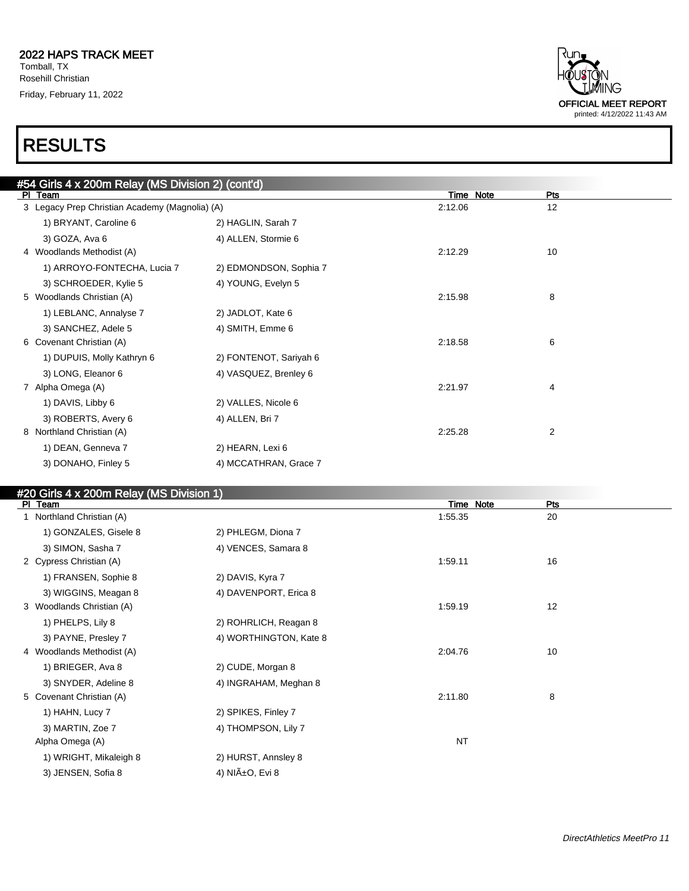

| #54 Girls 4 x 200m Relay (MS Division 2) (cont'd) |                        |           |     |  |
|---------------------------------------------------|------------------------|-----------|-----|--|
| PI Team                                           |                        | Time Note | Pts |  |
| 3 Legacy Prep Christian Academy (Magnolia) (A)    |                        | 2:12.06   | 12  |  |
| 1) BRYANT, Caroline 6                             | 2) HAGLIN, Sarah 7     |           |     |  |
| 3) GOZA, Ava 6                                    | 4) ALLEN, Stormie 6    |           |     |  |
| 4 Woodlands Methodist (A)                         |                        | 2:12.29   | 10  |  |
| 1) ARROYO-FONTECHA, Lucia 7                       | 2) EDMONDSON, Sophia 7 |           |     |  |
| 3) SCHROEDER, Kylie 5                             | 4) YOUNG, Evelyn 5     |           |     |  |
| 5 Woodlands Christian (A)                         |                        | 2:15.98   | 8   |  |
| 1) LEBLANC, Annalyse 7                            | 2) JADLOT, Kate 6      |           |     |  |
| 3) SANCHEZ, Adele 5                               | 4) SMITH, Emme 6       |           |     |  |
| 6 Covenant Christian (A)                          |                        | 2:18.58   | 6   |  |
| 1) DUPUIS, Molly Kathryn 6                        | 2) FONTENOT, Sariyah 6 |           |     |  |
| 3) LONG, Eleanor 6                                | 4) VASQUEZ, Brenley 6  |           |     |  |
| 7 Alpha Omega (A)                                 |                        | 2:21.97   | 4   |  |
| 1) DAVIS, Libby 6                                 | 2) VALLES, Nicole 6    |           |     |  |
| 3) ROBERTS, Avery 6                               | 4) ALLEN, Bri 7        |           |     |  |
| 8 Northland Christian (A)                         |                        | 2:25.28   | 2   |  |
| 1) DEAN, Genneva 7                                | 2) HEARN, Lexi 6       |           |     |  |
| 3) DONAHO, Finley 5                               | 4) MCCATHRAN, Grace 7  |           |     |  |

#### #20 Girls 4 x 200m Relay (MS Division 1)

| PI Team                   |                        | Time Note | <b>Pts</b> |
|---------------------------|------------------------|-----------|------------|
| 1 Northland Christian (A) |                        | 1.55.35   | 20         |
| 1) GONZALES, Gisele 8     | 2) PHLEGM, Diona 7     |           |            |
| 3) SIMON, Sasha 7         | 4) VENCES, Samara 8    |           |            |
| 2 Cypress Christian (A)   |                        | 1:59.11   | 16         |
| 1) FRANSEN, Sophie 8      | 2) DAVIS, Kyra 7       |           |            |
| 3) WIGGINS, Meagan 8      | 4) DAVENPORT, Erica 8  |           |            |
| 3 Woodlands Christian (A) |                        | 1:59.19   | 12         |
| 1) PHELPS, Lily 8         | 2) ROHRLICH, Reagan 8  |           |            |
| 3) PAYNE, Presley 7       | 4) WORTHINGTON, Kate 8 |           |            |
| 4 Woodlands Methodist (A) |                        | 2:04.76   | 10         |
| 1) BRIEGER, Ava 8         | 2) CUDE, Morgan 8      |           |            |
| 3) SNYDER, Adeline 8      | 4) INGRAHAM, Meghan 8  |           |            |
| 5 Covenant Christian (A)  |                        | 2:11.80   | 8          |
| 1) HAHN, Lucy 7           | 2) SPIKES, Finley 7    |           |            |
| 3) MARTIN, Zoe 7          | 4) THOMPSON, Lily 7    |           |            |
| Alpha Omega (A)           |                        | <b>NT</b> |            |
| 1) WRIGHT, Mikaleigh 8    | 2) HURST, Annsley 8    |           |            |
| 3) JENSEN, Sofia 8        | 4) NIñO, Evi 8         |           |            |
|                           |                        |           |            |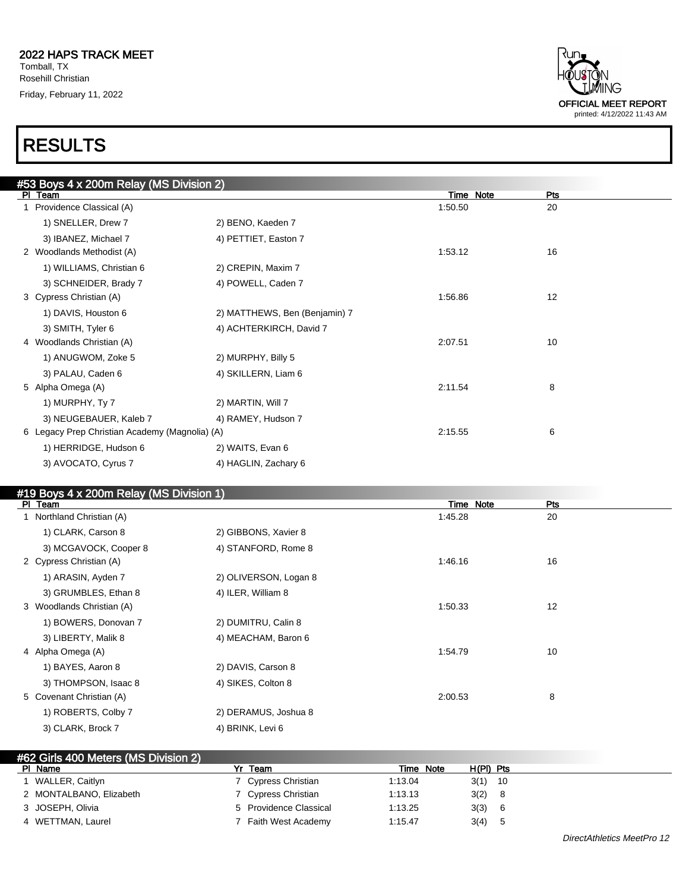

| #53 Boys 4 x 200m Relay (MS Division 2)        |                               |           |     |  |
|------------------------------------------------|-------------------------------|-----------|-----|--|
| PI Team                                        |                               | Time Note | Pts |  |
| 1 Providence Classical (A)                     |                               | 1:50.50   | 20  |  |
| 1) SNELLER, Drew 7                             | 2) BENO, Kaeden 7             |           |     |  |
| 3) IBANEZ, Michael 7                           | 4) PETTIET, Easton 7          |           |     |  |
| 2 Woodlands Methodist (A)                      |                               | 1:53.12   | 16  |  |
| 1) WILLIAMS, Christian 6                       | 2) CREPIN, Maxim 7            |           |     |  |
| 3) SCHNEIDER, Brady 7                          | 4) POWELL, Caden 7            |           |     |  |
| 3 Cypress Christian (A)                        |                               | 1:56.86   | 12  |  |
| 1) DAVIS, Houston 6                            | 2) MATTHEWS, Ben (Benjamin) 7 |           |     |  |
| 3) SMITH, Tyler 6                              | 4) ACHTERKIRCH, David 7       |           |     |  |
| 4 Woodlands Christian (A)                      |                               | 2:07.51   | 10  |  |
| 1) ANUGWOM, Zoke 5                             | 2) MURPHY, Billy 5            |           |     |  |
| 3) PALAU, Caden 6                              | 4) SKILLERN, Liam 6           |           |     |  |
| 5 Alpha Omega (A)                              |                               | 2:11.54   | 8   |  |
| 1) MURPHY, Ty 7                                | 2) MARTIN, Will 7             |           |     |  |
| 3) NEUGEBAUER, Kaleb 7                         | 4) RAMEY, Hudson 7            |           |     |  |
| 6 Legacy Prep Christian Academy (Magnolia) (A) |                               | 2:15.55   | 6   |  |
| 1) HERRIDGE, Hudson 6                          | 2) WAITS, Evan 6              |           |     |  |
| 3) AVOCATO, Cyrus 7                            | 4) HAGLIN, Zachary 6          |           |     |  |
|                                                |                               |           |     |  |

#### #19 Boys 4 x 200m Relay (MS Division 1)

| $\mu$ to boyd + $\lambda$ 20011 incluy (the British Fig.<br>PI Team |                       | Time Note | <b>Pts</b> |
|---------------------------------------------------------------------|-----------------------|-----------|------------|
| 1 Northland Christian (A)                                           |                       | 1:45.28   | 20         |
| 1) CLARK, Carson 8                                                  | 2) GIBBONS, Xavier 8  |           |            |
| 3) MCGAVOCK, Cooper 8                                               | 4) STANFORD, Rome 8   |           |            |
| 2 Cypress Christian (A)                                             |                       | 1:46.16   | 16         |
| 1) ARASIN, Ayden 7                                                  | 2) OLIVERSON, Logan 8 |           |            |
| 3) GRUMBLES, Ethan 8                                                | 4) ILER, William 8    |           |            |
| 3 Woodlands Christian (A)                                           |                       | 1:50.33   | 12         |
| 1) BOWERS, Donovan 7                                                | 2) DUMITRU, Calin 8   |           |            |
| 3) LIBERTY, Malik 8                                                 | 4) MEACHAM, Baron 6   |           |            |
| 4 Alpha Omega (A)                                                   |                       | 1:54.79   | 10         |
| 1) BAYES, Aaron 8                                                   | 2) DAVIS, Carson 8    |           |            |
| 3) THOMPSON, Isaac 8                                                | 4) SIKES, Colton 8    |           |            |
| 5 Covenant Christian (A)                                            |                       | 2:00.53   | 8          |
| 1) ROBERTS, Colby 7                                                 | 2) DERAMUS, Joshua 8  |           |            |
| 3) CLARK, Brock 7                                                   | 4) BRINK, Levi 6      |           |            |

| #62 Girls 400 Meters (MS Division 2) |                        |           |             |  |
|--------------------------------------|------------------------|-----------|-------------|--|
| PI Name                              | Team                   | Time Note | $H(PI)$ Pts |  |
| l WALLER, Caitlyn                    | 7 Cypress Christian    | 1:13.04   | $3(1)$ 10   |  |
| 2 MONTALBANO, Elizabeth              | 7 Cypress Christian    | 1:13.13   | 3(2) 8      |  |
| 3 JOSEPH, Olivia                     | 5 Providence Classical | 1:13.25   | 3(3)<br>- 6 |  |
| 4 WETTMAN, Laurel                    | Faith West Academy     | 1:15.47   | 3(4)        |  |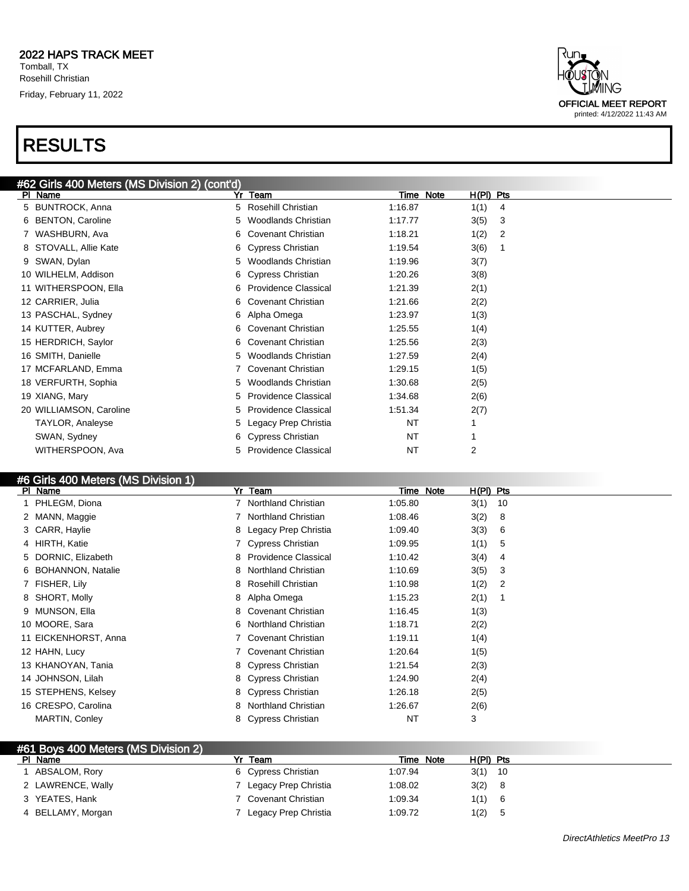

#### #6 Girls 400 Meters (MS Division 1)

| PI Name              | Yr Team                          | Time Note | $H(PI)$ Pts |
|----------------------|----------------------------------|-----------|-------------|
| 1 PHLEGM, Diona      | Northland Christian              | 1:05.80   | 3(1)<br>10  |
| 2 MANN, Maggie       | Northland Christian              | 1:08.46   | 3(2)<br>8   |
| 3 CARR, Haylie       | 8 Legacy Prep Christia           | 1:09.40   | 3(3)<br>6   |
| 4 HIRTH, Katie       | 7 Cypress Christian              | 1:09.95   | 1(1)<br>5   |
| 5 DORNIC, Elizabeth  | <b>Providence Classical</b><br>8 | 1:10.42   | 3(4)<br>4   |
| 6 BOHANNON, Natalie  | <b>Northland Christian</b><br>8. | 1:10.69   | 3(5)<br>3   |
| 7 FISHER, Lily       | Rosehill Christian<br>8          | 1:10.98   | 1(2)<br>2   |
| 8 SHORT, Molly       | Alpha Omega<br>8                 | 1:15.23   | 2(1)        |
| 9 MUNSON, Ella       | 8 Covenant Christian             | 1:16.45   | 1(3)        |
| 10 MOORE, Sara       | Northland Christian<br>6         | 1:18.71   | 2(2)        |
| 11 EICKENHORST, Anna | <b>Covenant Christian</b>        | 1:19.11   | 1(4)        |
| 12 HAHN, Lucy        | <b>Covenant Christian</b>        | 1:20.64   | 1(5)        |
| 13 KHANOYAN, Tania   | 8 Cypress Christian              | 1:21.54   | 2(3)        |
| 14 JOHNSON, Lilah    | 8 Cypress Christian              | 1:24.90   | 2(4)        |
| 15 STEPHENS, Kelsey  | 8 Cypress Christian              | 1:26.18   | 2(5)        |
| 16 CRESPO, Carolina  | <b>Northland Christian</b><br>8  | 1:26.67   | 2(6)        |
| MARTIN, Conley       | 8 Cypress Christian              | <b>NT</b> | 3           |

| #61 Boys 400 Meters (MS Division 2) |                      |           |             |  |
|-------------------------------------|----------------------|-----------|-------------|--|
| PI Name                             | Team                 | Time Note | $H(PI)$ Pts |  |
| ABSALOM, Rory                       | 6 Cypress Christian  | 1:07.94   | $3(1)$ 10   |  |
| 2 LAWRENCE, Wally                   | Legacy Prep Christia | 1:08.02   | 3(2)        |  |
| 3 YEATES, Hank                      | Covenant Christian   | 1:09.34   | 1(1)        |  |
| 4 BELLAMY, Morgan                   | Legacy Prep Christia | 1:09.72   | 1(2)<br>đ   |  |



printed: 4/12/2022 11:43 AM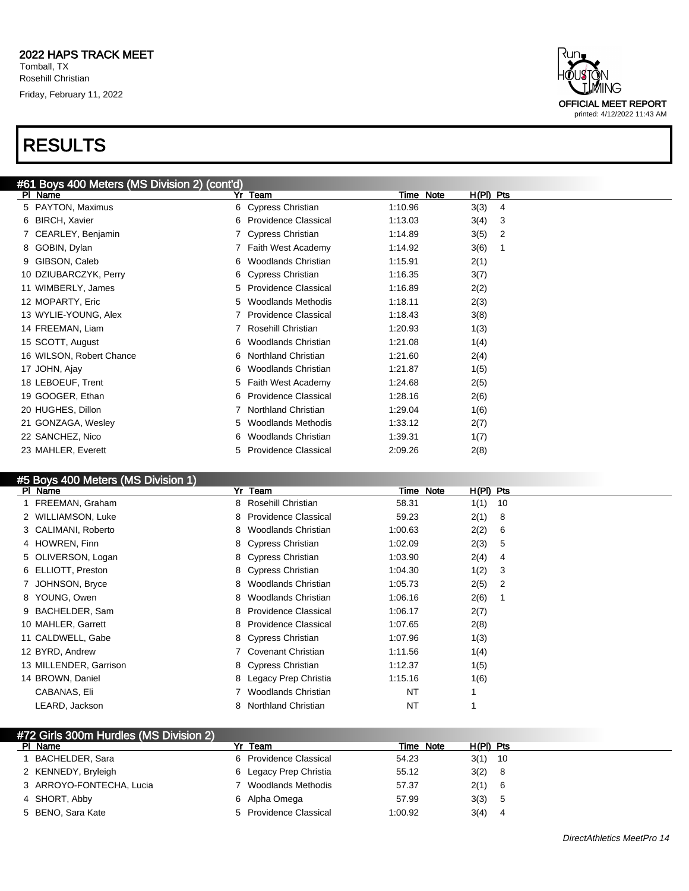

#### #5 Boys 400 Meters (MS Division 1)

| $100 - 100$ and $100 - 100$<br>PI Name | Team<br>Yr                        | $H(PI)$ Pts<br>Note<br>Time |  |
|----------------------------------------|-----------------------------------|-----------------------------|--|
| FREEMAN, Graham                        | 8 Rosehill Christian              | 58.31<br>1(1)<br>10         |  |
| 2 WILLIAMSON, Luke                     | 8 Providence Classical            | 2(1)<br>8<br>59.23          |  |
| 3 CALIMANI, Roberto                    | 8 Woodlands Christian             | 2(2)<br>1:00.63<br>6        |  |
| 4 HOWREN, Finn                         | 8 Cypress Christian               | 2(3)<br>1:02.09<br>5        |  |
| 5 OLIVERSON, Logan                     | 8 Cypress Christian               | 2(4)<br>1:03.90<br>4        |  |
| 6 ELLIOTT, Preston                     | 8 Cypress Christian               | 1:04.30<br>1(2)<br>3        |  |
| JOHNSON, Bryce                         | 8 Woodlands Christian             | 2(5)<br>1:05.73<br>2        |  |
| 8 YOUNG, Owen                          | 8 Woodlands Christian             | 1:06.16<br>2(6)             |  |
| 9 BACHELDER, Sam                       | 8 Providence Classical            | 2(7)<br>1:06.17             |  |
| 10 MAHLER, Garrett                     | <b>Providence Classical</b><br>8. | 1:07.65<br>2(8)             |  |
| 11 CALDWELL, Gabe                      | 8 Cypress Christian               | 1:07.96<br>1(3)             |  |
| 12 BYRD, Andrew                        | Covenant Christian                | 1:11.56<br>1(4)             |  |
| 13 MILLENDER, Garrison                 | 8 Cypress Christian               | 1:12.37<br>1(5)             |  |
| 14 BROWN, Daniel                       | 8 Legacy Prep Christia            | 1:15.16<br>1(6)             |  |
| CABANAS, Eli                           | Woodlands Christian               | NT                          |  |
| LEARD, Jackson                         | <b>Northland Christian</b><br>8   | NT                          |  |

#### #72 Girls 300m Hurdles (MS Division 2)

| PI Name                  | Team                   | Time Note | $H(PI)$ Pts |
|--------------------------|------------------------|-----------|-------------|
| BACHELDER, Sara          | 6 Providence Classical | 54.23     | $3(1)$ 10   |
| 2 KENNEDY, Bryleigh      | 6 Legacy Prep Christia | 55.12     | 3(2)<br>- 8 |
| 3 ARROYO-FONTECHA, Lucia | 7 Woodlands Methodis   | 57.37     | 2(1) 6      |
| 4 SHORT, Abby            | 6 Alpha Omega          | 57.99     | 3(3)        |
| 5 BENO, Sara Kate        | 5 Providence Classical | 1:00.92   | 3(4)        |

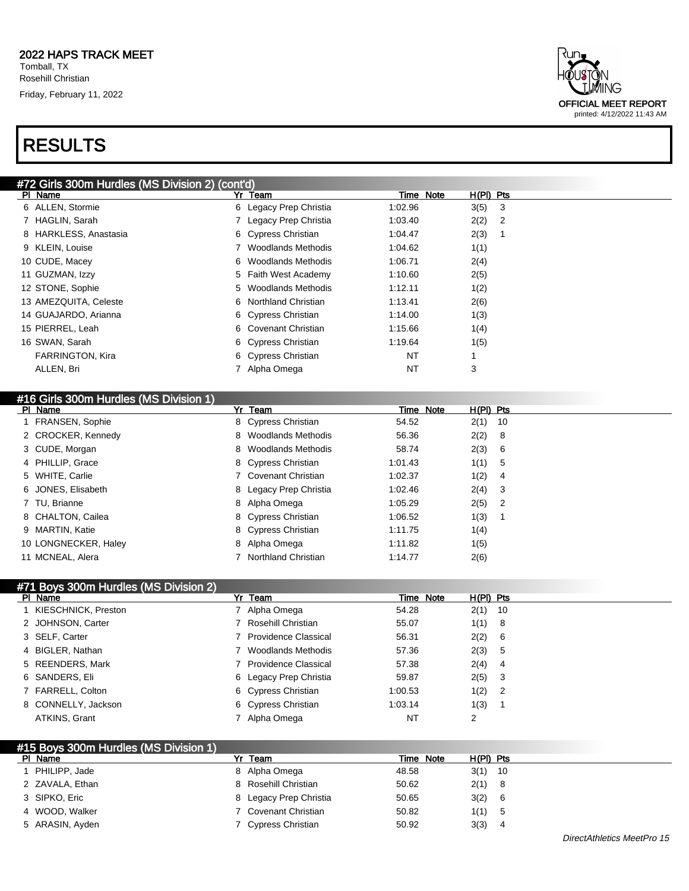

| #72 Girls 300m Hurdles (MS Division 2) (cont'd) |                        |           |             |
|-------------------------------------------------|------------------------|-----------|-------------|
| PI Name                                         | Yr Team                | Time Note | $H(PI)$ Pts |
| 6 ALLEN, Stormie                                | 6 Legacy Prep Christia | 1:02.96   | 3(5)<br>-3  |
| 7 HAGLIN, Sarah                                 | Legacy Prep Christia   | 1:03.40   | 2(2)<br>-2  |
| 8 HARKLESS, Anastasia                           | 6 Cypress Christian    | 1:04.47   | 2(3)        |
| 9 KLEIN, Louise                                 | Woodlands Methodis     | 1:04.62   | 1(1)        |
| 10 CUDE, Macey                                  | 6 Woodlands Methodis   | 1:06.71   | 2(4)        |
| 11 GUZMAN, Izzy                                 | 5 Faith West Academy   | 1:10.60   | 2(5)        |
| 12 STONE, Sophie                                | 5 Woodlands Methodis   | 1:12.11   | 1(2)        |
| 13 AMEZQUITA, Celeste                           | 6 Northland Christian  | 1:13.41   | 2(6)        |
| 14 GUAJARDO, Arianna                            | 6 Cypress Christian    | 1:14.00   | 1(3)        |
| 15 PIERREL, Leah                                | 6 Covenant Christian   | 1:15.66   | 1(4)        |
| 16 SWAN, Sarah                                  | 6 Cypress Christian    | 1:19.64   | 1(5)        |
| <b>FARRINGTON, Kira</b>                         | 6 Cypress Christian    | NT        |             |
| ALLEN, Bri                                      | Alpha Omega            | NT        | 3           |
|                                                 |                        |           |             |

#### #16 Girls 300m Hurdles (MS Division 1)

| PI Name |                      | Yr Team                | Time Note | $H(PI)$ Pts |  |
|---------|----------------------|------------------------|-----------|-------------|--|
|         | 1 FRANSEN, Sophie    | 8 Cypress Christian    | 54.52     | $2(1)$ 10   |  |
|         | 2 CROCKER, Kennedy   | 8 Woodlands Methodis   | 56.36     | 2(2) 8      |  |
|         | 3 CUDE, Morgan       | 8 Woodlands Methodis   | 58.74     | 2(3) 6      |  |
|         | 4 PHILLIP, Grace     | 8 Cypress Christian    | 1:01.43   | 1(1) 5      |  |
|         | 5 WHITE, Carlie      | 7 Covenant Christian   | 1:02.37   | 1(2) 4      |  |
|         | 6 JONES, Elisabeth   | 8 Legacy Prep Christia | 1:02.46   | $2(4)$ 3    |  |
|         | 7 TU, Brianne        | 8 Alpha Omega          | 1:05.29   | $2(5)$ 2    |  |
|         | 8 CHALTON, Cailea    | 8 Cypress Christian    | 1:06.52   | 1(3)        |  |
|         | 9 MARTIN, Katie      | 8 Cypress Christian    | 1:11.75   | 1(4)        |  |
|         | 10 LONGNECKER, Haley | 8 Alpha Omega          | 1:11.82   | 1(5)        |  |
|         | 11 MCNEAL, Alera     | 7 Northland Christian  | 1:14.77   | 2(6)        |  |

| 471 Boys 300m Hurdles (MS Division 2) |  |
|---------------------------------------|--|
|                                       |  |

| $\cdots$ . By your contribution that $\cdots$<br>PI Name | Yr Team                | Time Note | $H(PI)$ Pts |  |
|----------------------------------------------------------|------------------------|-----------|-------------|--|
| 1 KIESCHNICK, Preston                                    | 7 Alpha Omega          | 54.28     | $2(1)$ 10   |  |
| 2 JOHNSON, Carter                                        | 7 Rosehill Christian   | 55.07     | 1(1) 8      |  |
| 3 SELF, Carter                                           | 7 Providence Classical | 56.31     | 2(2) 6      |  |
| 4 BIGLER, Nathan                                         | Woodlands Methodis     | 57.36     | 2(3) 5      |  |
| 5 REENDERS, Mark                                         | 7 Providence Classical | 57.38     | $2(4)$ 4    |  |
| 6 SANDERS, Eli                                           | 6 Legacy Prep Christia | 59.87     | $2(5)$ 3    |  |
| 7 FARRELL, Colton                                        | 6 Cypress Christian    | 1:00.53   | $1(2)$ 2    |  |
| 8 CONNELLY, Jackson                                      | 6 Cypress Christian    | 1:03.14   | 1(3)        |  |
| ATKINS, Grant                                            | Alpha Omega            | <b>NT</b> | 2           |  |

| #15 Boys 300m Hurdles (MS Division 1) |                        |           |             |  |
|---------------------------------------|------------------------|-----------|-------------|--|
| PI Name                               | Yr Team                | Time Note | $H(PI)$ Pts |  |
| PHILIPP, Jade                         | 8 Alpha Omega          | 48.58     | $3(1)$ 10   |  |
| 2 ZAVALA, Ethan                       | 8 Rosehill Christian   | 50.62     | $2(1)$ 8    |  |
| 3 SIPKO, Eric                         | 8 Legacy Prep Christia | 50.65     | 3(2) 6      |  |
| 4 WOOD, Walker                        | 7 Covenant Christian   | 50.82     | 1(1) 5      |  |
| 5 ARASIN, Ayden                       | 7 Cypress Christian    | 50.92     | 3(3)<br>4   |  |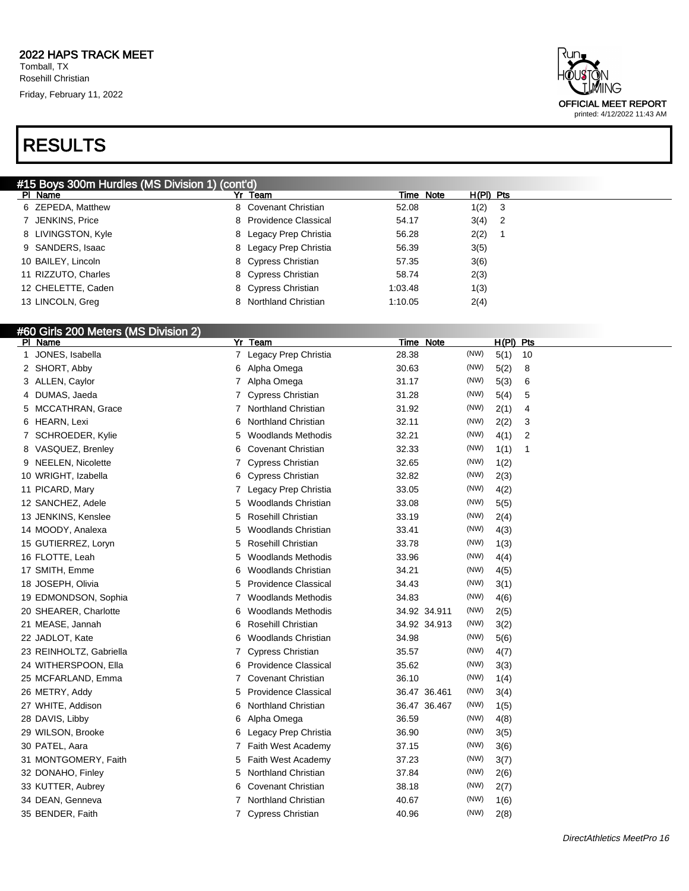### RESULTS



| #15 Boys 300m Hurdles (MS Division 1) (cont'd) |                        |           |             |  |  |
|------------------------------------------------|------------------------|-----------|-------------|--|--|
| PI Name                                        | Yr Team                | Time Note | $H(PI)$ Pts |  |  |
| 6 ZEPEDA, Matthew                              | 8 Covenant Christian   | 52.08     | 1(2)<br>3   |  |  |
| 7 JENKINS, Price                               | 8 Providence Classical | 54.17     | $3(4)$ 2    |  |  |
| 8 LIVINGSTON, Kyle                             | 8 Legacy Prep Christia | 56.28     | 2(2)        |  |  |
| 9 SANDERS, Isaac                               | 8 Legacy Prep Christia | 56.39     | 3(5)        |  |  |
| 10 BAILEY, Lincoln                             | 8 Cypress Christian    | 57.35     | 3(6)        |  |  |
| 11 RIZZUTO, Charles                            | 8 Cypress Christian    | 58.74     | 2(3)        |  |  |
| 12 CHELETTE, Caden                             | 8 Cypress Christian    | 1:03.48   | 1(3)        |  |  |
| 13 LINCOLN, Greg                               | 8 Northland Christian  | 1:10.05   | 2(4)        |  |  |

#### #60 Girls 200 Meters (MS Division 2)

|    | PI Name                 | Yr | <b>Team</b>                 |       | Time Note            | $H(PI)$ Pts |    |
|----|-------------------------|----|-----------------------------|-------|----------------------|-------------|----|
| 1  | JONES, Isabella         | 7  | Legacy Prep Christia        | 28.38 | (NW)                 | 5(1)        | 10 |
|    | 2 SHORT, Abby           | 6  | Alpha Omega                 | 30.63 | (NW)                 | 5(2)        | 8  |
|    | 3 ALLEN, Caylor         | 7  | Alpha Omega                 | 31.17 | (NW)                 | 5(3)        | 6  |
| 4  | DUMAS, Jaeda            | 7  | <b>Cypress Christian</b>    | 31.28 | (NW)                 | 5(4)        | 5  |
| 5. | MCCATHRAN, Grace        | 7  | Northland Christian         | 31.92 | (NW)                 | 2(1)        | 4  |
| 6  | HEARN, Lexi             | 6  | <b>Northland Christian</b>  | 32.11 | (NW)                 | 2(2)        | 3  |
|    | SCHROEDER, Kylie        | 5  | <b>Woodlands Methodis</b>   | 32.21 | (NW)                 | 4(1)        | 2  |
|    | 8 VASQUEZ, Brenley      | 6  | <b>Covenant Christian</b>   | 32.33 | (NW)                 | 1(1)        | 1  |
|    | 9 NEELEN, Nicolette     | 7  | <b>Cypress Christian</b>    | 32.65 | (NW)                 | 1(2)        |    |
|    | 10 WRIGHT, Izabella     | 6  | <b>Cypress Christian</b>    | 32.82 | (NW)                 | 2(3)        |    |
|    | 11 PICARD, Mary         | 7  | Legacy Prep Christia        | 33.05 | (NW)                 | 4(2)        |    |
|    | 12 SANCHEZ, Adele       | 5  | <b>Woodlands Christian</b>  | 33.08 | (NW)                 | 5(5)        |    |
|    | 13 JENKINS, Kenslee     | 5  | Rosehill Christian          | 33.19 | (NW)                 | 2(4)        |    |
|    | 14 MOODY, Analexa       | 5  | Woodlands Christian         | 33.41 | (NW)                 | 4(3)        |    |
|    | 15 GUTIERREZ, Loryn     | 5  | Rosehill Christian          | 33.78 | (NW)                 | 1(3)        |    |
|    | 16 FLOTTE, Leah         | 5  | Woodlands Methodis          | 33.96 | (NW)                 | 4(4)        |    |
|    | 17 SMITH, Emme          | 6  | <b>Woodlands Christian</b>  | 34.21 | (NW)                 | 4(5)        |    |
|    | 18 JOSEPH, Olivia       | 5  | <b>Providence Classical</b> | 34.43 | (NW)                 | 3(1)        |    |
|    | 19 EDMONDSON, Sophia    | 7  | Woodlands Methodis          | 34.83 | (NW)                 | 4(6)        |    |
|    | 20 SHEARER, Charlotte   | 6  | <b>Woodlands Methodis</b>   |       | 34.92 34.911<br>(NW) | 2(5)        |    |
|    | 21 MEASE, Jannah        | 6  | Rosehill Christian          |       | 34.92 34.913<br>(NW) | 3(2)        |    |
|    | 22 JADLOT, Kate         | 6  | Woodlands Christian         | 34.98 | (NW)                 | 5(6)        |    |
|    | 23 REINHOLTZ, Gabriella | 7  | <b>Cypress Christian</b>    | 35.57 | (NW)                 | 4(7)        |    |
|    | 24 WITHERSPOON, Ella    | 6  | <b>Providence Classical</b> | 35.62 | (NW)                 | 3(3)        |    |
|    | 25 MCFARLAND, Emma      | 7  | <b>Covenant Christian</b>   | 36.10 | (NW)                 | 1(4)        |    |
|    | 26 METRY, Addy          | 5  | <b>Providence Classical</b> |       | (NW)<br>36.47 36.461 | 3(4)        |    |
|    | 27 WHITE, Addison       | 6  | Northland Christian         |       | (NW)<br>36.47 36.467 | 1(5)        |    |
|    | 28 DAVIS, Libby         | 6  | Alpha Omega                 | 36.59 | (NW)                 | 4(8)        |    |
|    | 29 WILSON, Brooke       | 6  | Legacy Prep Christia        | 36.90 | (NW)                 | 3(5)        |    |
|    | 30 PATEL, Aara          | 7  | <b>Faith West Academy</b>   | 37.15 | (NW)                 | 3(6)        |    |
|    | 31 MONTGOMERY, Faith    | 5  | Faith West Academy          | 37.23 | (NW)                 | 3(7)        |    |
|    | 32 DONAHO, Finley       | 5  | <b>Northland Christian</b>  | 37.84 | (NW)                 | 2(6)        |    |
|    | 33 KUTTER, Aubrey       | 6  | <b>Covenant Christian</b>   | 38.18 | (NW)                 | 2(7)        |    |
|    | 34 DEAN, Genneva        | 7  | <b>Northland Christian</b>  | 40.67 | (NW)                 | 1(6)        |    |
|    | 35 BENDER, Faith        | 7  | <b>Cypress Christian</b>    | 40.96 | (NW)                 | 2(8)        |    |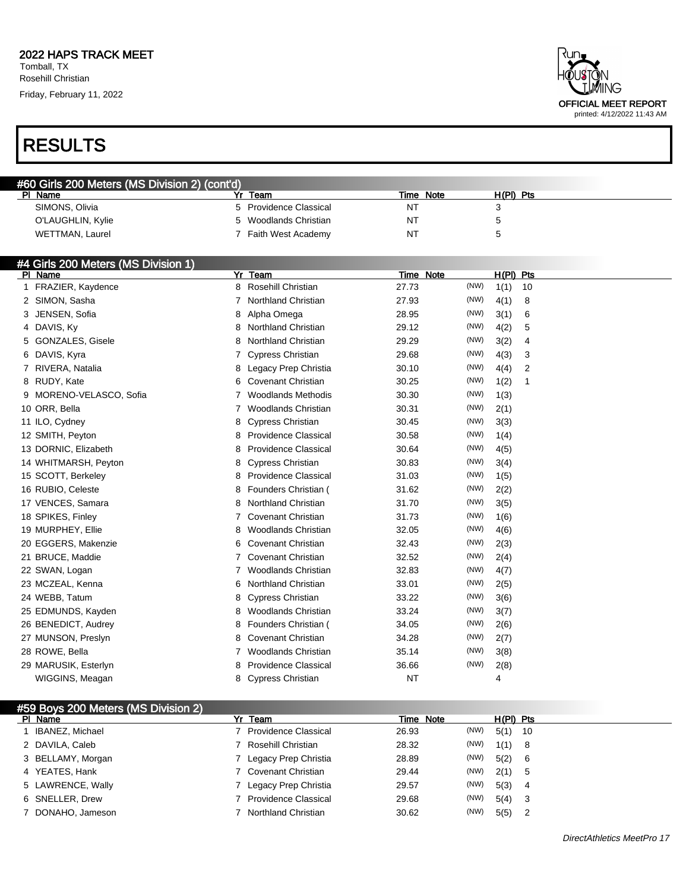Rosehill Christian Friday, February 11, 2022

# RESULTS

| ⊀un.<br>USTÕN<br>TIMING                                    |
|------------------------------------------------------------|
| <b>OFFICIAL MEET REPORT</b><br>printed: 4/12/2022 11:43 AM |

| #60 Girls 200 Meters (MS Division 2) (cont'd) |                                |                |             |  |
|-----------------------------------------------|--------------------------------|----------------|-------------|--|
| PI Name                                       | Team                           | Time Note      | $H(PI)$ Pts |  |
| SIMONS, Olivia                                | Providence Classical<br>$\sim$ | N.             |             |  |
| O'LAUGHLIN, Kylie                             | 5 Woodlands Christian          | N <sub>1</sub> |             |  |
| WETTMAN, Laurel                               | Faith West Academy             | N.             |             |  |

#### #4 Girls 200 Meters (MS Division 1)

 $\overline{AB}$  Boys  $\overline{B}$ 

| PI Name                 | Yr | Team                        | Time Note |      | $H(PI)$ Pts |                |
|-------------------------|----|-----------------------------|-----------|------|-------------|----------------|
| FRAZIER, Kaydence       |    | 8 Rosehill Christian        | 27.73     | (NW) | 1(1)        | 10             |
| 2 SIMON, Sasha          | 7  | <b>Northland Christian</b>  | 27.93     | (NW) | 4(1)        | 8              |
| JENSEN, Sofia<br>3      | 8  | Alpha Omega                 | 28.95     | (NW) | 3(1)        | 6              |
| 4 DAVIS, Ky             | 8  | Northland Christian         | 29.12     | (NW) | 4(2)        | 5              |
| 5 GONZALES, Gisele      | 8  | <b>Northland Christian</b>  | 29.29     | (NW) | 3(2)        | 4              |
| 6 DAVIS, Kyra           | 7  | <b>Cypress Christian</b>    | 29.68     | (NW) | 4(3)        | 3              |
| 7 RIVERA, Natalia       | 8  | Legacy Prep Christia        | 30.10     | (NW) | 4(4)        | $\overline{2}$ |
| 8 RUDY, Kate            | 6  | <b>Covenant Christian</b>   | 30.25     | (NW) | 1(2)        | 1              |
| 9 MORENO-VELASCO, Sofia | 7  | Woodlands Methodis          | 30.30     | (NW) | 1(3)        |                |
| 10 ORR, Bella           |    | <b>Woodlands Christian</b>  | 30.31     | (NW) | 2(1)        |                |
| 11 ILO, Cydney          | 8  | <b>Cypress Christian</b>    | 30.45     | (NW) | 3(3)        |                |
| 12 SMITH, Peyton        | 8  | <b>Providence Classical</b> | 30.58     | (NW) | 1(4)        |                |
| 13 DORNIC, Elizabeth    | 8  | <b>Providence Classical</b> | 30.64     | (NW) | 4(5)        |                |
| 14 WHITMARSH, Peyton    | 8  | <b>Cypress Christian</b>    | 30.83     | (NW) | 3(4)        |                |
| 15 SCOTT, Berkeley      | 8  | <b>Providence Classical</b> | 31.03     | (NW) | 1(5)        |                |
| 16 RUBIO, Celeste       | 8  | Founders Christian (        | 31.62     | (NW) | 2(2)        |                |
| 17 VENCES, Samara       | 8  | <b>Northland Christian</b>  | 31.70     | (NW) | 3(5)        |                |
| 18 SPIKES, Finley       |    | <b>Covenant Christian</b>   | 31.73     | (NW) | 1(6)        |                |
| 19 MURPHEY, Ellie       | 8  | <b>Woodlands Christian</b>  | 32.05     | (NW) | 4(6)        |                |
| 20 EGGERS, Makenzie     | 6  | <b>Covenant Christian</b>   | 32.43     | (NW) | 2(3)        |                |
| 21 BRUCE, Maddie        | 7  | <b>Covenant Christian</b>   | 32.52     | (NW) | 2(4)        |                |
| 22 SWAN, Logan          |    | <b>Woodlands Christian</b>  | 32.83     | (NW) | 4(7)        |                |
| 23 MCZEAL, Kenna        | 6  | <b>Northland Christian</b>  | 33.01     | (NW) | 2(5)        |                |
| 24 WEBB, Tatum          | 8. | <b>Cypress Christian</b>    | 33.22     | (NW) | 3(6)        |                |
| 25 EDMUNDS, Kayden      | 8  | <b>Woodlands Christian</b>  | 33.24     | (NW) | 3(7)        |                |
| 26 BENEDICT, Audrey     | 8  | Founders Christian (        | 34.05     | (NW) | 2(6)        |                |
| 27 MUNSON, Preslyn      | 8  | <b>Covenant Christian</b>   | 34.28     | (NW) | 2(7)        |                |
| 28 ROWE, Bella          |    | Woodlands Christian         | 35.14     | (NW) | 3(8)        |                |
| 29 MARUSIK, Esterlyn    | 8  | <b>Providence Classical</b> | 36.66     | (NW) | 2(8)        |                |
| WIGGINS, Meagan         |    | 8 Cypress Christian         | <b>NT</b> |      | 4           |                |

| HOY DUYS ZUU MELETS (MIO LIMSIUTI Z) |                             |       |           |             |     |
|--------------------------------------|-----------------------------|-------|-----------|-------------|-----|
| PI Name                              | Yr Team                     |       | Time Note | $H(PI)$ Pts |     |
| IBANEZ, Michael                      | <b>Providence Classical</b> | 26.93 | (NW)      | 5(1)        | -10 |
| 2 DAVILA, Caleb                      | Rosehill Christian          | 28.32 | (NW)      | 1(1)        | - 8 |
| 3 BELLAMY, Morgan                    | Legacy Prep Christia        | 28.89 | (NW)      | 5(2)        | - 6 |
| 4 YEATES, Hank                       | 7 Covenant Christian        | 29.44 | (NW)      | 2(1)        | -5  |
| 5 LAWRENCE, Wally                    | Legacy Prep Christia        | 29.57 | (NW)      | 5(3)        | 4   |
| 6 SNELLER, Drew                      | 7 Providence Classical      | 29.68 | (NW)      | 5(4)        | - 3 |
| 7 DONAHO, Jameson                    | Northland Christian         | 30.62 | (NW)      | 5(5)        | -2  |
|                                      |                             |       |           |             |     |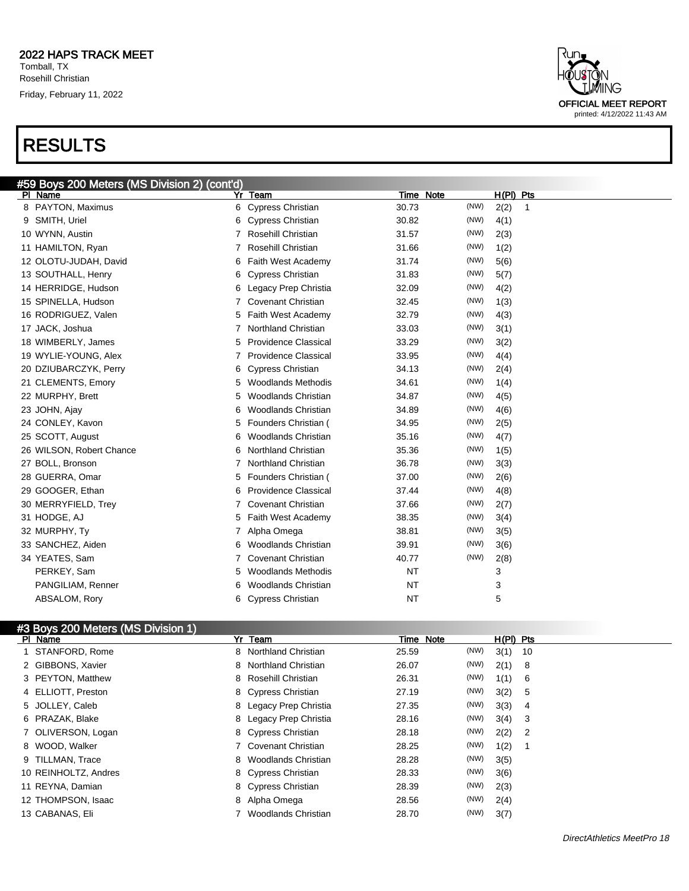

| #59 Boys 200 Meters (MS Division 2) (cont'd) |                             |               |                      |
|----------------------------------------------|-----------------------------|---------------|----------------------|
| Yr<br>PI Name                                | Team                        | Time Note     | $H(PI)$ Pts          |
| 8 PAYTON, Maximus<br>6                       | <b>Cypress Christian</b>    | (NW)<br>30.73 | 2(2)<br>$\mathbf{1}$ |
| 9 SMITH, Uriel<br>6                          | <b>Cypress Christian</b>    | (NW)<br>30.82 | 4(1)                 |
| 10 WYNN, Austin<br>7                         | Rosehill Christian          | (NW)<br>31.57 | 2(3)                 |
| 11 HAMILTON, Ryan                            | Rosehill Christian          | (NW)<br>31.66 | 1(2)                 |
| 12 OLOTU-JUDAH, David<br>6                   | Faith West Academy          | 31.74<br>(NW) | 5(6)                 |
| 13 SOUTHALL, Henry<br>6                      | <b>Cypress Christian</b>    | 31.83<br>(NW) | 5(7)                 |
| 14 HERRIDGE, Hudson<br>6                     | Legacy Prep Christia        | (NW)<br>32.09 | 4(2)                 |
| 15 SPINELLA, Hudson<br>7                     | <b>Covenant Christian</b>   | (NW)<br>32.45 | 1(3)                 |
| 16 RODRIGUEZ, Valen<br>5                     | <b>Faith West Academy</b>   | (NW)<br>32.79 | 4(3)                 |
| 17 JACK, Joshua<br>7                         | <b>Northland Christian</b>  | 33.03<br>(NW) | 3(1)                 |
| 18 WIMBERLY, James<br>5                      | Providence Classical        | (NW)<br>33.29 | 3(2)                 |
| 19 WYLIE-YOUNG, Alex                         | <b>Providence Classical</b> | (NW)<br>33.95 | 4(4)                 |
| 20 DZIUBARCZYK, Perry<br>6                   | <b>Cypress Christian</b>    | 34.13<br>(NW) | 2(4)                 |
| 21 CLEMENTS, Emory<br>5                      | <b>Woodlands Methodis</b>   | 34.61<br>(NW) | 1(4)                 |
| 22 MURPHY, Brett<br>5                        | <b>Woodlands Christian</b>  | 34.87<br>(NW) | 4(5)                 |
| 23 JOHN, Ajay<br>6                           | <b>Woodlands Christian</b>  | (NW)<br>34.89 | 4(6)                 |
| 24 CONLEY, Kavon<br>5                        | Founders Christian (        | (NW)<br>34.95 | 2(5)                 |
| 25 SCOTT, August<br>6                        | <b>Woodlands Christian</b>  | 35.16<br>(NW) | 4(7)                 |
| 26 WILSON, Robert Chance<br>6                | <b>Northland Christian</b>  | 35.36<br>(NW) | 1(5)                 |
| 27 BOLL, Bronson<br>7                        | <b>Northland Christian</b>  | (NW)<br>36.78 | 3(3)                 |
| 28 GUERRA, Omar<br>5                         | Founders Christian (        | (NW)<br>37.00 | 2(6)                 |
| 29 GOOGER, Ethan<br>6                        | <b>Providence Classical</b> | (NW)<br>37.44 | 4(8)                 |
| 30 MERRYFIELD, Trey                          | <b>Covenant Christian</b>   | (NW)<br>37.66 | 2(7)                 |
| 31 HODGE, AJ<br>5                            | Faith West Academy          | (NW)<br>38.35 | 3(4)                 |
| 32 MURPHY, Ty                                | Alpha Omega                 | (NW)<br>38.81 | 3(5)                 |
| 33 SANCHEZ, Aiden<br>6                       | Woodlands Christian         | (NW)<br>39.91 | 3(6)                 |
| 34 YEATES, Sam<br>7                          | <b>Covenant Christian</b>   | 40.77<br>(NW) | 2(8)                 |
| PERKEY, Sam<br>5                             | <b>Woodlands Methodis</b>   | <b>NT</b>     | 3                    |
| PANGILIAM, Renner                            | <b>Woodlands Christian</b>  | <b>NT</b>     | 3                    |
| ABSALOM, Rory<br>6                           | <b>Cypress Christian</b>    | <b>NT</b>     | 5                    |

#### #3 Boys 200 Meters (MS Division 1)

| PI Name              | Yr Team                |       | Time Note | $H(PI)$ Pts |      |
|----------------------|------------------------|-------|-----------|-------------|------|
| STANFORD, Rome       | 8 Northland Christian  | 25.59 | (NW)      | 3(1)        | - 10 |
| 2 GIBBONS, Xavier    | 8 Northland Christian  | 26.07 | (NW)      | 2(1)        | - 8  |
| 3 PEYTON, Matthew    | 8 Rosehill Christian   | 26.31 | (NW)      | 1(1)        | - 6  |
| 4 ELLIOTT, Preston   | 8 Cypress Christian    | 27.19 | (NW)      | 3(2)        | -5   |
| 5 JOLLEY, Caleb      | 8 Legacy Prep Christia | 27.35 | (NW)      | 3(3)        | -4   |
| 6 PRAZAK, Blake      | 8 Legacy Prep Christia | 28.16 | (NW)      | 3(4)        | -3   |
| 7 OLIVERSON, Logan   | 8 Cypress Christian    | 28.18 | (NW)      | 2(2)        | - 2  |
| 8 WOOD, Walker       | 7 Covenant Christian   | 28.25 | (NW)      | 1(2)        |      |
| 9 TILLMAN, Trace     | 8 Woodlands Christian  | 28.28 | (NW)      | 3(5)        |      |
| 10 REINHOLTZ, Andres | 8 Cypress Christian    | 28.33 | (NW)      | 3(6)        |      |
| 11 REYNA, Damian     | 8 Cypress Christian    | 28.39 | (NW)      | 2(3)        |      |
| 12 THOMPSON, Isaac   | 8 Alpha Omega          | 28.56 | (NW)      | 2(4)        |      |
| 13 CABANAS, Eli      | Woodlands Christian    | 28.70 | (NW)      | 3(7)        |      |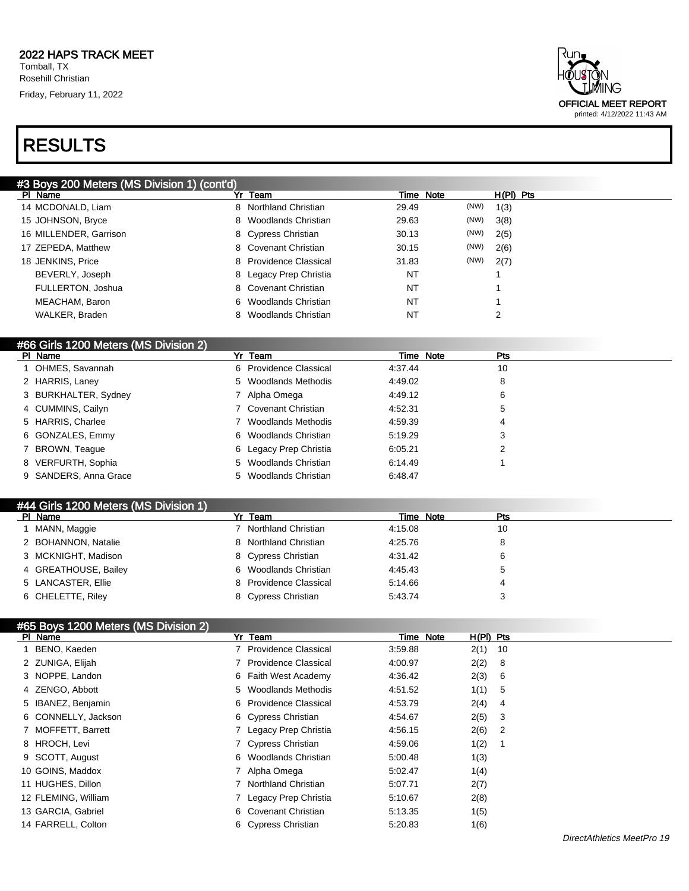### RESULTS

| #3 Boys 200 Meters (MS Division 1) (cont'd) |                           |               |             |
|---------------------------------------------|---------------------------|---------------|-------------|
| PI Name                                     | Yr Team                   | Time Note     | $H(PI)$ Pts |
| 14 MCDONALD, Liam                           | 8 Northland Christian     | (NW)<br>29.49 | 1(3)        |
| 15 JOHNSON, Bryce                           | 8 Woodlands Christian     | (NW)<br>29.63 | 3(8)        |
| 16 MILLENDER, Garrison                      | 8 Cypress Christian       | (NW)<br>30.13 | 2(5)        |
| 17 ZEPEDA, Matthew                          | 8 Covenant Christian      | (NW)<br>30.15 | 2(6)        |
| 18 JENKINS, Price                           | 8 Providence Classical    | (NW)<br>31.83 | 2(7)        |
| BEVERLY, Joseph                             | 8 Legacy Prep Christia    | NT            |             |
| FULLERTON, Joshua                           | 8 Covenant Christian      | NT            |             |
| MEACHAM, Baron                              | 6 Woodlands Christian     | NT            |             |
| WALKER, Braden                              | Woodlands Christian<br>8. | NT            | 2           |
|                                             |                           |               |             |

#### #66 Girls 1200 Meters (MS Division 2)

| PI Name               | Yr Team                | Time Note | <b>Pts</b> |
|-----------------------|------------------------|-----------|------------|
| 1 OHMES, Savannah     | 6 Providence Classical | 4:37.44   | 10         |
| 2 HARRIS, Laney       | 5 Woodlands Methodis   | 4:49.02   | 8          |
| 3 BURKHALTER, Sydney  | Alpha Omega            | 4:49.12   | 6          |
| 4 CUMMINS, Cailyn     | 7 Covenant Christian   | 4:52.31   | 5          |
| 5 HARRIS, Charlee     | 7 Woodlands Methodis   | 4:59.39   | 4          |
| 6 GONZALES, Emmy      | 6 Woodlands Christian  | 5:19.29   | 3          |
| 7 BROWN, Teague       | 6 Legacy Prep Christia | 6:05.21   |            |
| 8 VERFURTH, Sophia    | 5 Woodlands Christian  | 6:14.49   |            |
| 9 SANDERS, Anna Grace | 5 Woodlands Christian  | 6:48.47   |            |

| #44 Girls 1200 Meters (MS Division 1) |                        |         |           |     |
|---------------------------------------|------------------------|---------|-----------|-----|
| PI Name                               | Yr Team                |         | Time Note | Pts |
| 1 MANN, Maggie                        | 7 Northland Christian  | 4:15.08 |           | 10  |
| 2 BOHANNON, Natalie                   | 8 Northland Christian  | 4:25.76 |           | 8   |
| 3 MCKNIGHT, Madison                   | 8 Cypress Christian    | 4:31.42 |           | 6   |
| 4 GREATHOUSE, Bailey                  | 6 Woodlands Christian  | 4:45.43 |           | 5   |
| 5 LANCASTER, Ellie                    | 8 Providence Classical | 5:14.66 |           | 4   |
| 6 CHELETTE, Riley                     | 8 Cypress Christian    | 5.43.74 |           | 3   |

#### #65 Boys 1200 Meters (MS Division 2)

| PI Name             | Yr Team                     | $H(PI)$ Pts<br>Time Note |
|---------------------|-----------------------------|--------------------------|
| BENO, Kaeden        | 7 Providence Classical      | 2(1)<br>3:59.88<br>-10   |
| 2 ZUNIGA, Elijah    | <b>Providence Classical</b> | 2(2)<br>4:00.97<br>8     |
| 3 NOPPE, Landon     | 6 Faith West Academy        | 2(3)<br>4:36.42<br>-6    |
| 4 ZENGO, Abbott     | 5 Woodlands Methodis        | 1(1)<br>4:51.52<br>5     |
| 5 IBANEZ, Benjamin  | 6 Providence Classical      | 2(4)<br>4:53.79<br>4     |
| 6 CONNELLY, Jackson | 6 Cypress Christian         | 2(5)<br>3<br>4:54.67     |
| 7 MOFFETT, Barrett  | 7 Legacy Prep Christia      | 2(6)<br>4:56.15<br>2     |
| 8 HROCH, Levi       | 7 Cypress Christian         | 1(2)<br>4:59.06          |
| 9 SCOTT, August     | 6 Woodlands Christian       | 5:00.48<br>1(3)          |
| 10 GOINS, Maddox    | 7 Alpha Omega               | 1(4)<br>5:02.47          |
| 11 HUGHES, Dillon   | Northland Christian         | 2(7)<br>5:07.71          |
| 12 FLEMING, William | Legacy Prep Christia        | 2(8)<br>5:10.67          |
| 13 GARCIA, Gabriel  | 6 Covenant Christian        | 5.13.35<br>1(5)          |
| 14 FARRELL, Colton  | 6 Cypress Christian         | 1(6)<br>5.20.83          |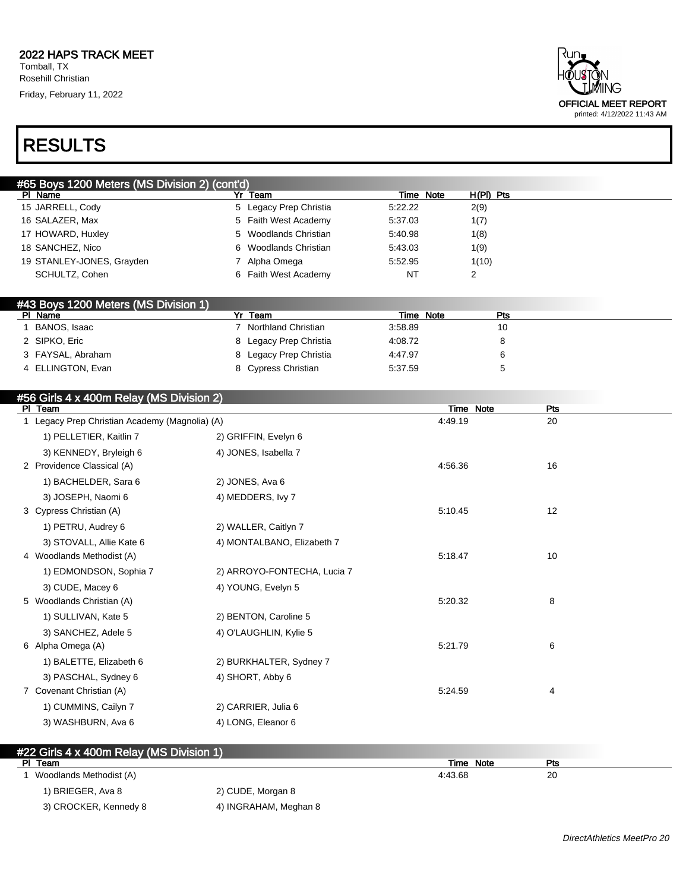

### RESULTS

| #65 Boys 1200 Meters (MS Division 2) (cont'd) |                        |           |           |  |  |
|-----------------------------------------------|------------------------|-----------|-----------|--|--|
| PI Name                                       | Yr Team                | Time Note | H(PI) Pts |  |  |
| 15 JARRELL, Cody                              | 5 Legacy Prep Christia | 5:22.22   | 2(9)      |  |  |
| 16 SALAZER, Max                               | 5 Faith West Academy   | 5:37.03   | 1(7)      |  |  |
| 17 HOWARD, Huxley                             | 5 Woodlands Christian  | 5:40.98   | 1(8)      |  |  |
| 18 SANCHEZ, Nico                              | 6 Woodlands Christian  | 5:43.03   | 1(9)      |  |  |
| 19 STANLEY-JONES, Grayden                     | Alpha Omega            | 5:52.95   | 1(10)     |  |  |
| SCHULTZ, Cohen                                | 6 Faith West Academy   | NT        | ∠         |  |  |

#### #43 Boys 1200 Meters (MS Division 1)

| PI Name           | Team                   | Time Note | Pts |
|-------------------|------------------------|-----------|-----|
| BANOS, Isaac      | Northland Christian    | 3:58.89   | 10  |
| 2 SIPKO, Eric     | 8 Legacy Prep Christia | 4:08.72   |     |
| 3 FAYSAL, Abraham | 8 Legacy Prep Christia | 4:47.97   |     |
| 4 ELLINGTON, Evan | 8 Cypress Christian    | 5:37.59   |     |

#### #56 Girls 4 x 400m Relay (MS Division 2)

| PI Team                                        |                             | Time Note | Pts |  |
|------------------------------------------------|-----------------------------|-----------|-----|--|
| 1 Legacy Prep Christian Academy (Magnolia) (A) |                             | 4:49.19   | 20  |  |
| 1) PELLETIER, Kaitlin 7                        | 2) GRIFFIN, Evelyn 6        |           |     |  |
| 3) KENNEDY, Bryleigh 6                         | 4) JONES, Isabella 7        |           |     |  |
| 2 Providence Classical (A)                     |                             | 4:56.36   | 16  |  |
| 1) BACHELDER, Sara 6                           | 2) JONES, Ava 6             |           |     |  |
| 3) JOSEPH, Naomi 6                             | 4) MEDDERS, Ivy 7           |           |     |  |
| 3 Cypress Christian (A)                        |                             | 5:10.45   | 12  |  |
| 1) PETRU, Audrey 6                             | 2) WALLER, Caitlyn 7        |           |     |  |
| 3) STOVALL, Allie Kate 6                       | 4) MONTALBANO, Elizabeth 7  |           |     |  |
| 4 Woodlands Methodist (A)                      |                             | 5:18.47   | 10  |  |
| 1) EDMONDSON, Sophia 7                         | 2) ARROYO-FONTECHA, Lucia 7 |           |     |  |
| 3) CUDE, Macey 6                               | 4) YOUNG, Evelyn 5          |           |     |  |
| 5 Woodlands Christian (A)                      |                             | 5:20.32   | 8   |  |
| 1) SULLIVAN, Kate 5                            | 2) BENTON, Caroline 5       |           |     |  |
| 3) SANCHEZ, Adele 5                            | 4) O'LAUGHLIN, Kylie 5      |           |     |  |
| 6 Alpha Omega (A)                              |                             | 5:21.79   | 6   |  |
| 1) BALETTE, Elizabeth 6                        | 2) BURKHALTER, Sydney 7     |           |     |  |
| 3) PASCHAL, Sydney 6                           | 4) SHORT, Abby 6            |           |     |  |
| 7 Covenant Christian (A)                       |                             | 5:24.59   | 4   |  |
| 1) CUMMINS, Cailyn 7                           | 2) CARRIER, Julia 6         |           |     |  |
| 3) WASHBURN, Ava 6                             | 4) LONG, Eleanor 6          |           |     |  |

| #22 Girls 4 x 400m Relay (MS Division 1) |                       |           |     |
|------------------------------------------|-----------------------|-----------|-----|
| PI.<br>Team                              |                       | Time Note | Pts |
| Woodlands Methodist (A)                  |                       | 4:43.68   | 20  |
| 1) BRIEGER, Ava 8                        | 2) CUDE, Morgan 8     |           |     |
| 3) CROCKER, Kennedy 8                    | 4) INGRAHAM, Meghan 8 |           |     |

DirectAthletics MeetPro 20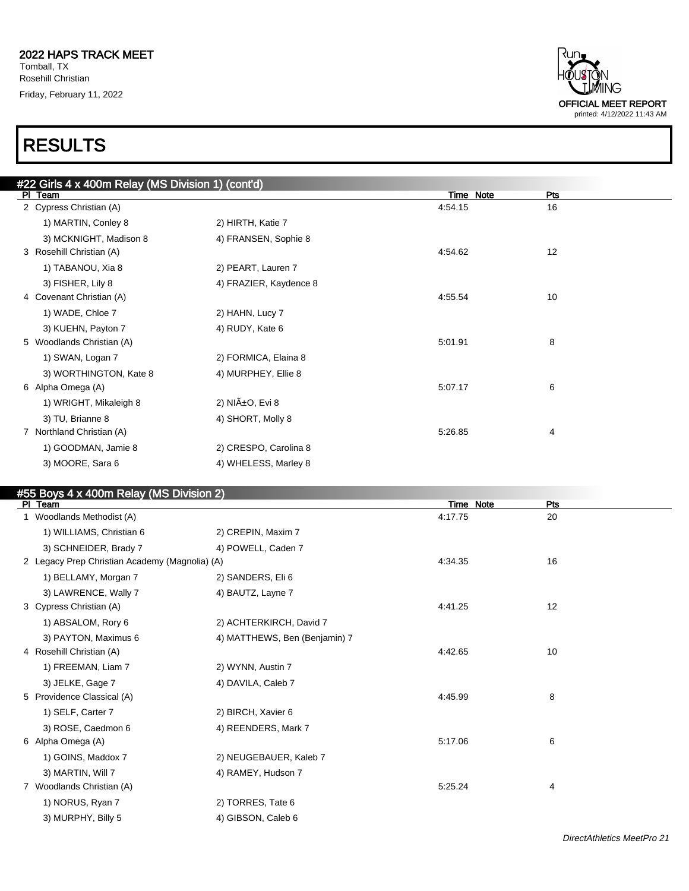

| #22 Girls 4 x 400m Relay (MS Division 1) (cont'd) |                        |           |     |  |
|---------------------------------------------------|------------------------|-----------|-----|--|
| PI Team                                           |                        | Time Note | Pts |  |
| 2 Cypress Christian (A)                           |                        | 4:54.15   | 16  |  |
| 1) MARTIN, Conley 8                               | 2) HIRTH, Katie 7      |           |     |  |
| 3) MCKNIGHT, Madison 8                            | 4) FRANSEN, Sophie 8   |           |     |  |
| 3 Rosehill Christian (A)                          |                        | 4:54.62   | 12  |  |
| 1) TABANOU, Xia 8                                 | 2) PEART, Lauren 7     |           |     |  |
| 3) FISHER, Lily 8                                 | 4) FRAZIER, Kaydence 8 |           |     |  |
| 4 Covenant Christian (A)                          |                        | 4:55.54   | 10  |  |
| 1) WADE, Chloe 7                                  | 2) HAHN, Lucy 7        |           |     |  |
| 3) KUEHN, Payton 7                                | 4) RUDY, Kate 6        |           |     |  |
| 5 Woodlands Christian (A)                         |                        | 5:01.91   | 8   |  |
| 1) SWAN, Logan 7                                  | 2) FORMICA, Elaina 8   |           |     |  |
| 3) WORTHINGTON, Kate 8                            | 4) MURPHEY, Ellie 8    |           |     |  |
| 6 Alpha Omega (A)                                 |                        | 5:07.17   | 6   |  |
| 1) WRIGHT, Mikaleigh 8                            | 2) NIñO, Evi 8         |           |     |  |
| 3) TU, Brianne 8                                  | 4) SHORT, Molly 8      |           |     |  |
| 7 Northland Christian (A)                         |                        | 5:26.85   | 4   |  |
| 1) GOODMAN, Jamie 8                               | 2) CRESPO, Carolina 8  |           |     |  |
| 3) MOORE, Sara 6                                  | 4) WHELESS, Marley 8   |           |     |  |
|                                                   |                        |           |     |  |

#### #55 Boys 4 x 400m Relay (MS Division 2)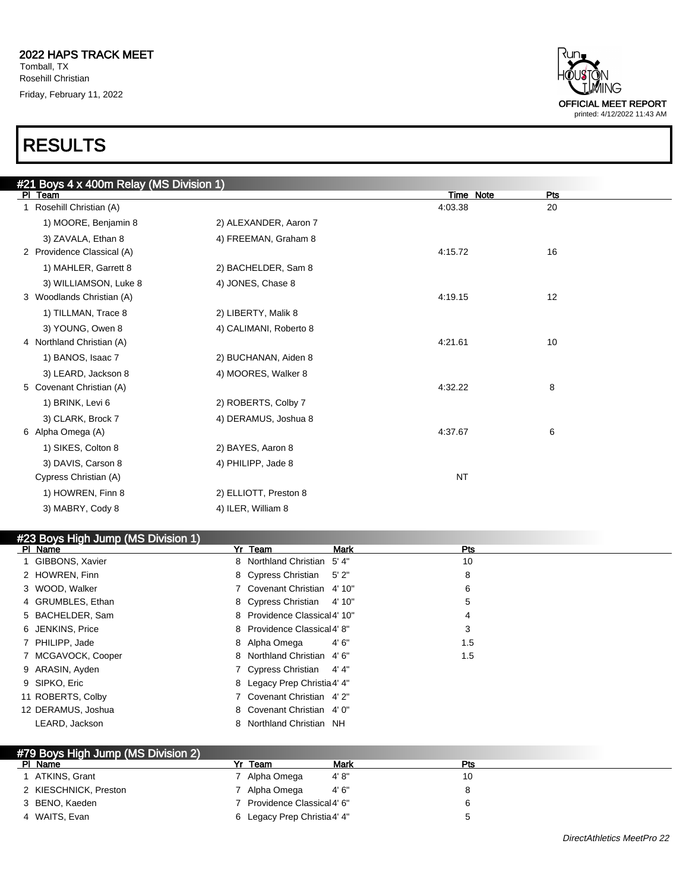| <b>RESULTS</b>                          |                        |           |     |  |  |  |
|-----------------------------------------|------------------------|-----------|-----|--|--|--|
| #21 Boys 4 x 400m Relay (MS Division 1) |                        |           |     |  |  |  |
| PI Team                                 |                        | Time Note | Pts |  |  |  |
| Rosehill Christian (A)                  |                        | 4:03.38   | 20  |  |  |  |
| 1) MOORE, Benjamin 8                    | 2) ALEXANDER, Aaron 7  |           |     |  |  |  |
| 3) ZAVALA, Ethan 8                      | 4) FREEMAN, Graham 8   |           |     |  |  |  |
| 2 Providence Classical (A)              |                        | 4:15.72   | 16  |  |  |  |
| 1) MAHLER, Garrett 8                    | 2) BACHELDER, Sam 8    |           |     |  |  |  |
| 3) WILLIAMSON, Luke 8                   | 4) JONES, Chase 8      |           |     |  |  |  |
| 3 Woodlands Christian (A)               |                        | 4:19.15   | 12  |  |  |  |
| 1) TILLMAN, Trace 8                     | 2) LIBERTY, Malik 8    |           |     |  |  |  |
| 3) YOUNG, Owen 8                        | 4) CALIMANI, Roberto 8 |           |     |  |  |  |
| 4 Northland Christian (A)               |                        | 4:21.61   | 10  |  |  |  |
| 1) BANOS, Isaac 7                       | 2) BUCHANAN, Aiden 8   |           |     |  |  |  |
| 3) LEARD, Jackson 8                     | 4) MOORES, Walker 8    |           |     |  |  |  |
| 5 Covenant Christian (A)                |                        | 4:32.22   | 8   |  |  |  |
| 1) BRINK, Levi 6                        | 2) ROBERTS, Colby 7    |           |     |  |  |  |
| 3) CLARK, Brock 7                       | 4) DERAMUS, Joshua 8   |           |     |  |  |  |
| 6 Alpha Omega (A)                       |                        | 4:37.67   | 6   |  |  |  |
| 1) SIKES, Colton 8                      | 2) BAYES, Aaron 8      |           |     |  |  |  |
| 3) DAVIS, Carson 8                      | 4) PHILIPP, Jade 8     |           |     |  |  |  |
| Cypress Christian (A)                   |                        | <b>NT</b> |     |  |  |  |
| 1) HOWREN, Finn 8                       | 2) ELLIOTT, Preston 8  |           |     |  |  |  |
| 3) MABRY, Cody 8                        | 4) ILER, William 8     |           |     |  |  |  |

#### #23 Boys High Jump (MS Division 1)<br>PL Name PI Name **Product Contact Product Contact Product Product Product Product Product Product Product Product Product** 1 GIBBONS, Xavier 8 Northland Christian 5' 4" 10 2 HOWREN, Finn 8 Cypress Christian 5' 2" 8 Cypress Christian 5' 2" 3 WOOD, Walker **6 Covenant Christian 4' 10"** 6 4 GRUMBLES, Ethan 5 Secret 20 and 4' 10" 5 5 BACHELDER, Sam 8 Providence Classical4' 10" 4 6 JENKINS, Price 8 Providence Classical4' 8" 3 7 PHILIPP, Jade 8 Alpha Omega 4' 6" 1.5 7 MCGAVOCK, Cooper 2.5 8 Northland Christian 4' 6" 2.5 1.5 9 ARASIN, Ayden 7 Cypress Christian 4' 4" 9 SIPKO, Eric 8 Legacy Prep Christia4' 4" 11 ROBERTS, Colby 7 Covenant Christian 4' 2" 12 DERAMUS, Joshua 8 Covenant Christian 4' 0" LEARD, Jackson 8 Northland Christian NH

| #79 Boys High Jump (MS Division 2) |                              |       |     |
|------------------------------------|------------------------------|-------|-----|
| PI Name                            | Team                         | Mark  | Pts |
| ATKINS, Grant                      | 7 Alpha Omega                | 4'8"  | 10  |
| 2 KIESCHNICK, Preston              | 7 Alpha Omega                | 4'6'' |     |
| 3 BENO, Kaeden                     | 7 Providence Classical 4' 6" |       |     |
| 4 WAITS, Evan                      | 6 Legacy Prep Christia 4' 4" |       |     |

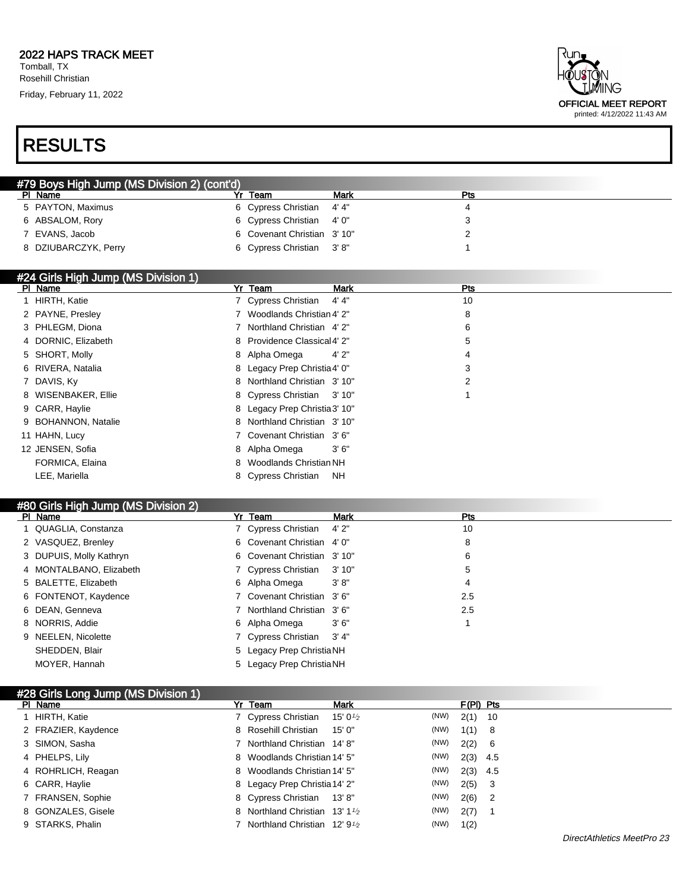### RESULTS

| dun.<br>HÕUSTÕN<br><b>MING</b> |
|--------------------------------|
| <b>OFFICIAL MEET REPORT</b>    |
| printed: 4/12/2022 11:43 AM    |

| #79 Boys High Jump (MS Division 2) (cont'd) |                             |      |     |  |  |  |  |
|---------------------------------------------|-----------------------------|------|-----|--|--|--|--|
| PI Name                                     | Team<br>v.                  | Mark | Pts |  |  |  |  |
| 5 PAYTON, Maximus                           | 6 Cypress Christian 4'4"    |      |     |  |  |  |  |
| 6 ABSALOM, Rory                             | 6 Cypress Christian 4'0"    |      |     |  |  |  |  |
| 7 EVANS, Jacob                              | 6 Covenant Christian 3' 10" |      |     |  |  |  |  |
| 8 DZIUBARCZYK, Perry                        | 6 Cypress Christian 3'8"    |      |     |  |  |  |  |

### #24 Girls High Jump (MS Division 1)

| PI Name             | Yr Team                       | Mark      | Pts |
|---------------------|-------------------------------|-----------|-----|
| 1 HIRTH, Katie      | 7 Cypress Christian           | 4' 4"     | 10  |
| 2 PAYNE, Presley    | 7 Woodlands Christian 4' 2"   |           | 8   |
| 3 PHLEGM, Diona     | 7 Northland Christian 4' 2"   |           | 6   |
| 4 DORNIC, Elizabeth | 8 Providence Classical 4' 2"  |           | 5   |
| 5 SHORT, Molly      | 8 Alpha Omega                 | 4'2"      | 4   |
| 6 RIVERA, Natalia   | 8 Legacy Prep Christia 4' 0"  |           | 3   |
| 7 DAVIS, Ky         | 8 Northland Christian 3'10"   |           | 2   |
| 8 WISENBAKER, Ellie | 8 Cypress Christian 3'10"     |           |     |
| 9 CARR, Haylie      | 8 Legacy Prep Christia 3' 10" |           |     |
| 9 BOHANNON, Natalie | 8 Northland Christian 3' 10"  |           |     |
| 11 HAHN, Lucy       | 7 Covenant Christian 3'6"     |           |     |
| 12 JENSEN, Sofia    | 8 Alpha Omega                 | 3'6''     |     |
| FORMICA, Elaina     | 8 Woodlands Christian NH      |           |     |
| LEE. Mariella       | 8 Cypress Christian           | <b>NH</b> |     |

#### #80 Girls High Jump (MS Division 2)

| PI Name                 | Yr Team                    | Mark   | Pts |
|-------------------------|----------------------------|--------|-----|
| 1 QUAGLIA, Constanza    | 7 Cypress Christian        | 4'2''  | 10  |
| 2 VASQUEZ, Brenley      | 6 Covenant Christian 4'0"  |        | 8   |
| 3 DUPUIS, Molly Kathryn | 6 Covenant Christian 3'10" |        | 6   |
| 4 MONTALBANO, Elizabeth | 7 Cypress Christian 3' 10" |        | 5   |
| 5 BALETTE, Elizabeth    | 6 Alpha Omega              | 3' 8'' | 4   |
| 6 FONTENOT, Kaydence    | 7 Covenant Christian 3'6"  |        | 2.5 |
| 6 DEAN, Genneva         | 7 Northland Christian 3'6" |        | 2.5 |
| 8 NORRIS, Addie         | 6 Alpha Omega              | 3'6''  |     |
| 9 NEELEN, Nicolette     | 7 Cypress Christian 3'4"   |        |     |
| SHEDDEN, Blair          | 5 Legacy Prep Christia NH  |        |     |
| MOYER, Hannah           | 5 Legacy Prep Christia NH  |        |     |

#### #28 Girls Long Jump (MS Division 1)

| PI Name             | Yr Team                                                 | <b>Mark</b>         |      | $F(PI)$ Pts |  |
|---------------------|---------------------------------------------------------|---------------------|------|-------------|--|
| 1 HIRTH, Katie      | 7 Cypress Christian                                     | 15' 0 $\frac{1}{2}$ | (NW) | $2(1)$ 10   |  |
| 2 FRAZIER, Kaydence | 8 Rosehill Christian                                    | 15' 0"              | (NW) | 1(1) 8      |  |
| 3 SIMON, Sasha      | 7 Northland Christian 14'8"                             |                     | (NW) | 2(2) 6      |  |
| 4 PHELPS, Lily      | 8 Woodlands Christian 14' 5"                            |                     | (NW) | $2(3)$ 4.5  |  |
| 4 ROHRLICH, Reagan  | 8 Woodlands Christian 14' 5"                            |                     | (NW) | $2(3)$ 4.5  |  |
| 6 CARR, Haylie      | 8 Legacy Prep Christia 14' 2"                           |                     | (NW) | $2(5)$ 3    |  |
| 7 FRANSEN, Sophie   | 8 Cypress Christian 13'8"                               |                     | (NW) | $2(6)$ 2    |  |
| 8 GONZALES, Gisele  | 8 Northland Christian 13' 1 <sup>1</sup> / <sub>2</sub> |                     | (NW) | $2(7)$ 1    |  |
| 9 STARKS, Phalin    | Northland Christian $12'9'$                             |                     | (NW) | 1(2)        |  |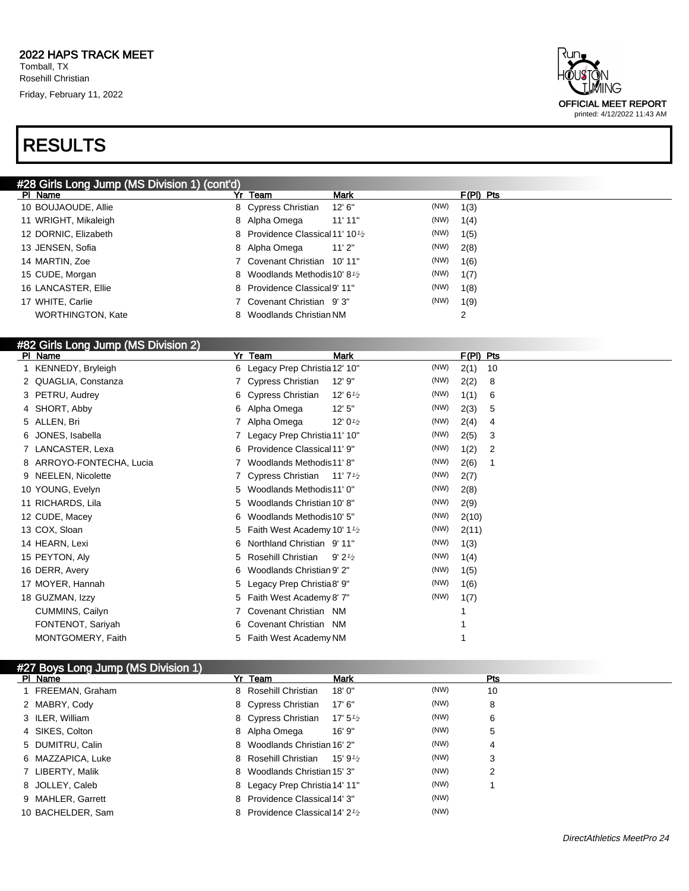# RESULTS



| #28 Girls Long Jump (MS Division 1) (cont'd) |                                                           |                 |             |
|----------------------------------------------|-----------------------------------------------------------|-----------------|-------------|
| PI Name                                      | Yr Team                                                   | Mark            | $F(PI)$ Pts |
| 10 BOUJAOUDE, Allie                          | 8 Cypress Christian                                       | (NW)<br>12' 6'' | 1(3)        |
| 11 WRIGHT, Mikaleigh                         | 8 Alpha Omega                                             | (NW)<br>11'11"  | 1(4)        |
| 12 DORNIC, Elizabeth                         | 8 Providence Classical 11' 10 <sup>1</sup> / <sub>2</sub> | (NW)            | 1(5)        |
| 13 JENSEN, Sofia                             | 8 Alpha Omega                                             | (NW)<br>11'2"   | 2(8)        |
| 14 MARTIN, Zoe                               | 7 Covenant Christian 10' 11"                              | (NW)            | 1(6)        |
| 15 CUDE, Morgan                              | 8 Woodlands Methodis 10' 8 <sup>1</sup> / <sub>2</sub>    | (NW)            | 1(7)        |
| 16 LANCASTER, Ellie                          | 8 Providence Classical 9' 11"                             | (NW)            | 1(8)        |
| 17 WHITE, Carlie                             | 7 Covenant Christian 9'3"                                 | (NW)            | 1(9)        |
| <b>WORTHINGTON, Kate</b>                     | Woodlands Christian NM<br>8.                              |                 | 2           |

### #82 Girls Long Jump (MS Division 2)

| PI Name              | Yr                       | Team                                                   | Mark                |      | $F(PI)$ Pts |    |
|----------------------|--------------------------|--------------------------------------------------------|---------------------|------|-------------|----|
| 1 KENNEDY, Bryleigh  |                          | 6 Legacy Prep Christia 12' 10"                         |                     | (NW) | 2(1)        | 10 |
| 2 QUAGLIA, Constanza |                          | 7 Cypress Christian                                    | 12' 9"              | (NW) | 2(2)        | 8  |
| 3 PETRU, Audrey      |                          | 6 Cypress Christian                                    | 12' 6 $\frac{1}{2}$ | (NW) | 1(1)        | 6  |
| 4 SHORT, Abby        |                          | 6 Alpha Omega                                          | 12'5''              | (NW) | 2(3)        | 5  |
| 5 ALLEN, Bri         |                          | 7 Alpha Omega                                          | 12' $0\frac{1}{2}$  | (NW) | 2(4)        | 4  |
| 6 JONES, Isabella    |                          | 7 Legacy Prep Christia 11' 10"                         |                     | (NW) | 2(5)        | 3  |
| 7 LANCASTER, Lexa    | 6.                       | Providence Classical 11' 9"                            |                     | (NW) | 1(2)        | 2  |
|                      | 8 ARROYO-FONTECHA, Lucia | Woodlands Methodis11' 8"                               |                     | (NW) | 2(6)        |    |
| 9 NEELEN, Nicolette  |                          | 7 Cypress Christian 11'7 <sup>1</sup> /2               |                     | (NW) | 2(7)        |    |
| 10 YOUNG, Evelyn     | 5.                       | Woodlands Methodis11' 0"                               |                     | (NW) | 2(8)        |    |
| 11 RICHARDS, Lila    | 5.                       | Woodlands Christian 10' 8"                             |                     | (NW) | 2(9)        |    |
| 12 CUDE, Macey       | 6                        | Woodlands Methodis10' 5"                               |                     | (NW) | 2(10)       |    |
| 13 COX, Sloan        |                          | 5 Faith West Academy 10' 1 <sup>1</sup> / <sub>2</sub> |                     | (NW) | 2(11)       |    |
| 14 HEARN, Lexi       | 6                        | Northland Christian 9'11"                              |                     | (NW) | 1(3)        |    |
| 15 PEYTON, Aly       | 5.                       | Rosehill Christian                                     | 9'21/2              | (NW) | 1(4)        |    |
| 16 DERR, Avery       | 6.                       | Woodlands Christian 9' 2"                              |                     | (NW) | 1(5)        |    |
| 17 MOYER, Hannah     | 5.                       | Legacy Prep Christia8' 9"                              |                     | (NW) | 1(6)        |    |
| 18 GUZMAN, Izzy      |                          | 5 Faith West Academy 8' 7"                             |                     | (NW) | 1(7)        |    |
| CUMMINS, Cailyn      |                          | 7 Covenant Christian NM                                |                     |      |             |    |
| FONTENOT, Sariyah    |                          | 6 Covenant Christian NM                                |                     |      |             |    |
| MONTGOMERY, Faith    |                          | 5 Faith West Academy NM                                |                     |      |             |    |
|                      |                          |                                                        |                     |      |             |    |

| #27 Boys Long Jump (MS Division 1) |                                                          |                     |      |     |
|------------------------------------|----------------------------------------------------------|---------------------|------|-----|
| PI Name                            | Yr Team                                                  | Mark                |      | Pts |
| 1 FREEMAN, Graham                  | 8 Rosehill Christian                                     | 18'0''              | (NW) | 10  |
| 2 MABRY, Cody                      | 8 Cypress Christian                                      | 17'6''              | (NW) | 8   |
| 3 ILER. William                    | 8 Cypress Christian                                      | 17' $5\frac{1}{2}$  | (NW) | 6   |
| 4 SIKES, Colton                    | 8 Alpha Omega                                            | 16'9''              | (NW) | 5   |
| 5 DUMITRU, Calin                   | 8 Woodlands Christian 16' 2"                             |                     | (NW) | 4   |
| 6 MAZZAPICA, Luke                  | 8 Rosehill Christian                                     | 15' 9 $\frac{1}{2}$ | (NW) | 3   |
| 7 LIBERTY, Malik                   | 8 Woodlands Christian 15' 3"                             |                     | (NW) | 2   |
| 8 JOLLEY, Caleb                    | 8 Legacy Prep Christia 14' 11"                           |                     | (NW) |     |
| 9 MAHLER, Garrett                  | 8 Providence Classical 14' 3"                            |                     | (NW) |     |
| 10 BACHELDER, Sam                  | 8 Providence Classical 14' 2 <sup>1</sup> / <sub>2</sub> |                     | (NW) |     |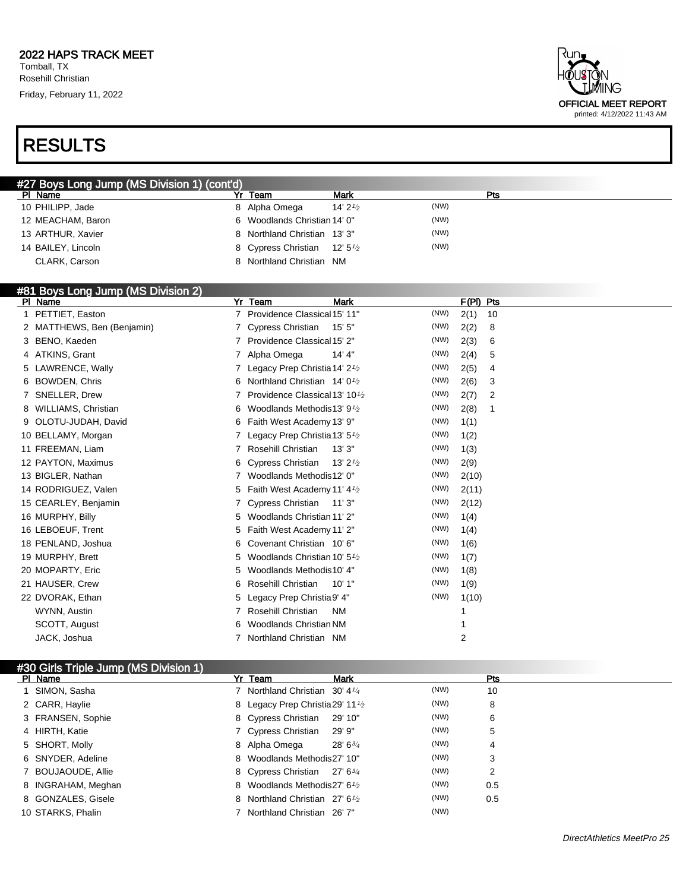# RESULTS



| #27 Boys Long Jump (MS Division 1) (cont'd) |                                                       |                     |      |  |
|---------------------------------------------|-------------------------------------------------------|---------------------|------|--|
| PI Name                                     | Team                                                  | <b>Mark</b>         | Pts  |  |
| 10 PHILIPP, Jade                            | 8 Alpha Omega                                         | 14' 2 $\frac{1}{2}$ | (NW) |  |
| 12 MEACHAM, Baron                           | 6 Woodlands Christian 14' 0"                          |                     | (NW) |  |
| 13 ARTHUR, Xavier                           | 8 Northland Christian 13' 3"                          |                     | (NW) |  |
| 14 BAILEY, Lincoln                          | 8 Cypress Christian 12' 5 <sup>1</sup> / <sub>2</sub> |                     | (NW) |  |
| CLARK, Carson                               | Northland Christian NM                                |                     |      |  |

#### #81 Boys Long Jump (MS Division 2)

| PI Name                    | <b>Team</b><br><b>Mark</b><br>Yr                           | F(PI)<br>Pts       |
|----------------------------|------------------------------------------------------------|--------------------|
| PETTIET, Easton            | Providence Classical 15' 11"                               | (NW)<br>2(1)<br>10 |
| 2 MATTHEWS, Ben (Benjamin) | Cypress Christian<br>15'5''                                | (NW)<br>2(2)<br>8  |
| 3 BENO, Kaeden             | Providence Classical 15' 2"                                | (NW)<br>2(3)<br>6  |
| 4 ATKINS, Grant            | Alpha Omega<br>14' 4"                                      | (NW)<br>2(4)<br>5  |
| 5 LAWRENCE, Wally          | Legacy Prep Christia 14' $2\frac{1}{2}$                    | (NW)<br>2(5)<br>4  |
| <b>BOWDEN, Chris</b><br>6. | Northland Christian 14' 0 <sup>1</sup> / <sub>2</sub><br>6 | (NW)<br>2(6)<br>3  |
| SNELLER, Drew              | Providence Classical 13' 10 <sup>1</sup> / <sub>2</sub>    | (NW)<br>2(7)<br>2  |
| WILLIAMS, Christian        | Woodlands Methodis 13' 9 <sup>1</sup> / <sub>2</sub><br>6  | (NW)<br>2(8)<br>1  |
| OLOTU-JUDAH, David<br>9    | Faith West Academy 13' 9"<br>6                             | (NW)<br>1(1)       |
| 10 BELLAMY, Morgan         | Legacy Prep Christia 13' 5 <sup>1</sup> /2                 | (NW)<br>1(2)       |
| 11 FREEMAN, Liam           | Rosehill Christian<br>13'3''                               | (NW)<br>1(3)       |
| 12 PAYTON, Maximus         | <b>Cypress Christian</b><br>13' $2\frac{1}{2}$<br>6        | (NW)<br>2(9)       |
| 13 BIGLER, Nathan          | Woodlands Methodis12' 0"                                   | (NW)<br>2(10)      |
| 14 RODRIGUEZ, Valen        | Faith West Academy 11' 4 <sup>1</sup> / <sub>2</sub><br>5. | (NW)<br>2(11)      |
| 15 CEARLEY, Benjamin       | Cypress Christian<br>11'3"                                 | (NW)<br>2(12)      |
| 16 MURPHY, Billy           | Woodlands Christian 11' 2"<br>5                            | (NW)<br>1(4)       |
| 16 LEBOEUF, Trent          | Faith West Academy 11' 2"<br>5                             | (NW)<br>1(4)       |
| 18 PENLAND, Joshua         | Covenant Christian 10'6"<br>6                              | (NW)<br>1(6)       |
| 19 MURPHY, Brett           | Woodlands Christian 10' 5 <sup>1</sup> / <sub>2</sub><br>5 | (NW)<br>1(7)       |
| 20 MOPARTY, Eric           | Woodlands Methodis 10' 4"<br>5                             | (NW)<br>1(8)       |
| 21 HAUSER, Crew            | Rosehill Christian<br>10' 1"<br>6                          | (NW)<br>1(9)       |
| 22 DVORAK, Ethan           | Legacy Prep Christia 9' 4"<br>5                            | (NW)<br>1(10)      |
| WYNN, Austin               | Rosehill Christian<br><b>NM</b>                            |                    |
| SCOTT, August              | <b>Woodlands Christian NM</b><br>6                         |                    |
| JACK, Joshua               | Northland Christian NM                                     | 2                  |

| #30 Girls Triple Jump (MS Division 1) |                                                         |              |      |     |
|---------------------------------------|---------------------------------------------------------|--------------|------|-----|
| PI Name                               | Yr Team                                                 | <b>Mark</b>  |      | Pts |
| 1 SIMON, Sasha                        | 7 Northland Christian 30' 41/4                          |              | (NW) | 10  |
| 2 CARR, Haylie                        | 8 Legacy Prep Christia 29' 11 <sup>1</sup> /2           |              | (NW) | 8   |
| 3 FRANSEN, Sophie                     | 8 Cypress Christian                                     | 29' 10"      | (NW) | 6   |
| 4 HIRTH, Katie                        | 7 Cypress Christian                                     | 29' 9"       | (NW) | 5   |
| 5 SHORT, Molly                        | 8 Alpha Omega                                           | $28'6^{3/4}$ | (NW) | 4   |
| 6 SNYDER, Adeline                     | 8 Woodlands Methodis 27' 10"                            |              | (NW) | 3   |
| 7 BOUJAOUDE, Allie                    | 8 Cypress Christian 27' 634                             |              | (NW) | 2   |
| 8 INGRAHAM, Meghan                    | 8 Woodlands Methodis 27' 6 <sup>1</sup> / <sub>2</sub>  |              | (NW) | 0.5 |
| 8 GONZALES, Gisele                    | 8 Northland Christian 27' 6 <sup>1</sup> / <sub>2</sub> |              | (NW) | 0.5 |
| 10 STARKS, Phalin                     | 7 Northland Christian 26' 7"                            |              | (NW) |     |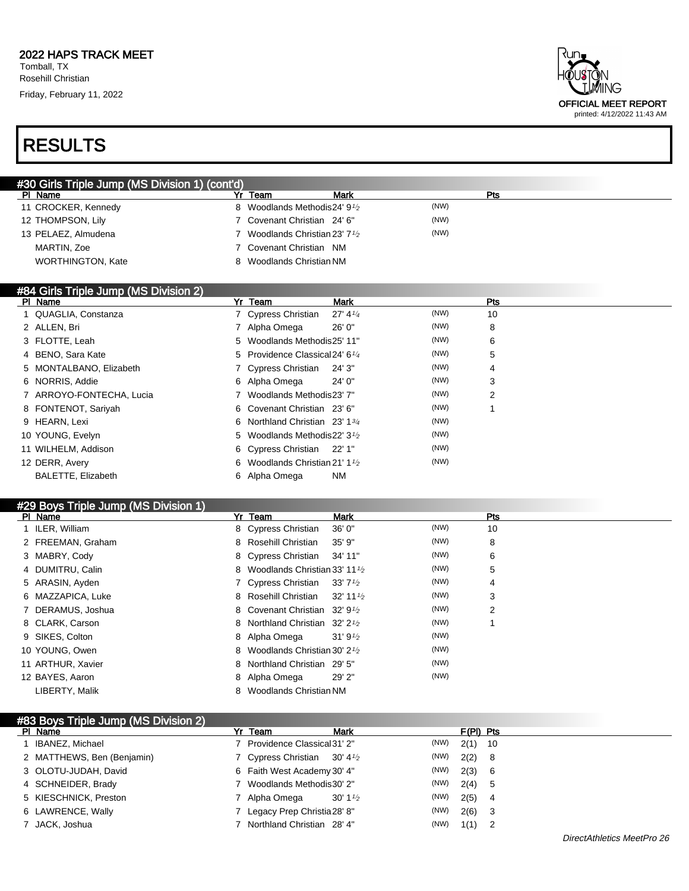| ₹un.<br>HÕUSTÕN<br><b>TIMING</b> |
|----------------------------------|
| <b>OFFICIAL MEET REPORT</b>      |
| printed: 4/12/2022 11:43 AM      |

| #30 Girls Triple Jump (MS Division 1) (cont'd) |                                                         |             |      |                 |
|------------------------------------------------|---------------------------------------------------------|-------------|------|-----------------|
| PI Name                                        | Yr Team                                                 | Mark        |      | Pts             |
| 11 CROCKER, Kennedy                            | 8 Woodlands Methodis 24' 9 <sup>1</sup> / <sub>2</sub>  |             | (NW) |                 |
| 12 THOMPSON, Lily                              | 7 Covenant Christian 24' 6"                             |             | (NW) |                 |
| 13 PELAEZ, Almudena                            | 7 Woodlands Christian 23' 7 <sup>1</sup> / <sub>2</sub> |             | (NW) |                 |
| MARTIN, Zoe                                    | 7 Covenant Christian NM                                 |             |      |                 |
| <b>WORTHINGTON, Kate</b>                       | 8 Woodlands Christian NM                                |             |      |                 |
|                                                |                                                         |             |      |                 |
| #84 Girls Triple Jump (MS Division 2)          |                                                         |             |      |                 |
| DI Nomo                                        | $V_r$ Toom                                              | <b>Mork</b> |      | D <sub>to</sub> |

| PI Name                  | Yr Team<br>Mark                                        | <b>Pts</b> |  |
|--------------------------|--------------------------------------------------------|------------|--|
| 1 QUAGLIA, Constanza     | 7 Cypress Christian<br>$27' 4\frac{1}{4}$              | (NW)<br>10 |  |
| 2 ALLEN, Bri             | 26' 0"<br>7 Alpha Omega                                | (NW)<br>8  |  |
| 3 FLOTTE, Leah           | 5 Woodlands Methodis 25' 11"                           | (NW)<br>6  |  |
| 4 BENO, Sara Kate        | 5 Providence Classical 24' 6 <sup>1/4</sup>            | (NW)<br>5  |  |
| 5 MONTALBANO, Elizabeth  | 7 Cypress Christian<br>24' 3"                          | (NW)<br>4  |  |
| 6 NORRIS, Addie          | 24'0''<br>6 Alpha Omega                                | (NW)<br>3  |  |
| 7 ARROYO-FONTECHA, Lucia | 7 Woodlands Methodis 23' 7"                            | (NW)<br>2  |  |
| 8 FONTENOT, Sariyah      | 6 Covenant Christian 23' 6"                            | (NW)       |  |
| 9 HEARN, Lexi            | 6 Northland Christian 23' 1 <sup>3/4</sup>             | (NW)       |  |
| 10 YOUNG, Evelyn         | 5 Woodlands Methodis 22' 3 <sup>1</sup> / <sub>2</sub> | (NW)       |  |
| 11 WILHELM, Addison      | 6 Cypress Christian 22' 1"                             | (NW)       |  |
| 12 DERR, Avery           | 6 Woodlands Christian 21' $1\frac{1}{2}$               | (NW)       |  |
| BALETTE, Elizabeth       | ΝM<br>6 Alpha Omega                                    |            |  |

| #29 Boys Triple Jump (MS Division 1) |   |                                                         |                        |      |     |
|--------------------------------------|---|---------------------------------------------------------|------------------------|------|-----|
| PI Name                              |   | Yr Team                                                 | Mark                   |      | Pts |
| 1 ILER, William                      |   | 8 Cypress Christian                                     | 36'0''                 | (NW) | 10  |
| 2 FREEMAN, Graham                    |   | 8 Rosehill Christian                                    | 35'9''                 | (NW) | 8   |
| 3 MABRY, Cody                        |   | 8 Cypress Christian                                     | 34' 11"                | (NW) | 6   |
| 4 DUMITRU, Calin                     | 8 | Woodlands Christian 33' 11 $\frac{1}{2}$                |                        | (NW) | 5   |
| 5 ARASIN, Ayden                      |   | 7 Cypress Christian                                     | $33'7\frac{1}{2}$      | (NW) | 4   |
| 6 MAZZAPICA, Luke                    |   | 8 Rosehill Christian                                    | $32'$ 11 $\frac{1}{2}$ | (NW) | 3   |
| 7 DERAMUS, Joshua                    |   | 8 Covenant Christian 32' 9 <sup>1</sup> / <sub>2</sub>  |                        | (NW) | 2   |
| 8 CLARK, Carson                      |   | 8 Northland Christian 32' 2 <sup>1</sup> / <sub>2</sub> |                        | (NW) |     |
| 9 SIKES, Colton                      |   | 8 Alpha Omega                                           | 31'9''2                | (NW) |     |
| 10 YOUNG, Owen                       | 8 | Woodlands Christian 30' 2 $\frac{1}{2}$                 |                        | (NW) |     |
| 11 ARTHUR, Xavier                    | 8 | Northland Christian 29' 5"                              |                        | (NW) |     |
| 12 BAYES, Aaron                      |   | 8 Alpha Omega                                           | 29' 2"                 | (NW) |     |
| LIBERTY, Malik                       | 8 | Woodlands Christian NM                                  |                        |      |     |

| #83 Boys Triple Jump (MS Division 2) |                                        |                     |      |             |  |
|--------------------------------------|----------------------------------------|---------------------|------|-------------|--|
| PI Name                              | Yr Team                                | <b>Mark</b>         |      | $F(PI)$ Pts |  |
| IBANEZ, Michael                      | Providence Classical 31' 2"            |                     | (NW) | $2(1)$ 10   |  |
| 2 MATTHEWS, Ben (Benjamin)           | 7 Cypress Christian 30' $4\frac{1}{2}$ |                     | (NW) | $2(2)$ 8    |  |
| 3 OLOTU-JUDAH, David                 | 6 Faith West Academy 30' 4"            |                     | (NW) | 2(3) 6      |  |
| 4 SCHNEIDER, Brady                   | 7 Woodlands Methodis 30' 2"            |                     | (NW) | 2(4) 5      |  |
| 5 KIESCHNICK, Preston                | 7 Alpha Omega                          | 30' 1 $\frac{1}{2}$ | (NW) | $2(5)$ 4    |  |
| 6 LAWRENCE, Wally                    | Legacy Prep Christia 28' 8"            |                     | (NW) | $2(6)$ 3    |  |
| 7 JACK, Joshua                       | Northland Christian 28' 4"             |                     | (NW) | $1(1)$ 2    |  |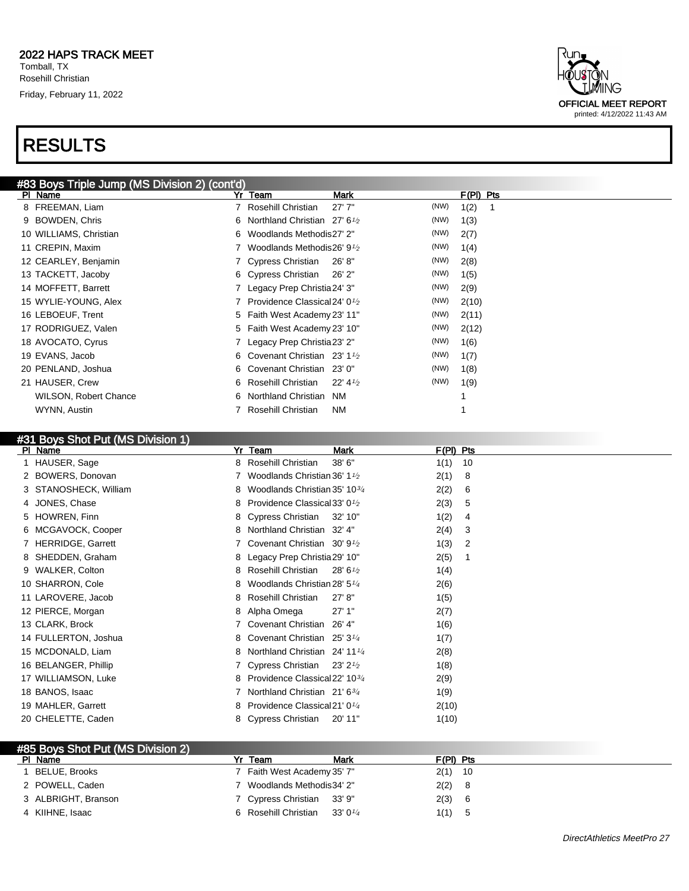

#### #31 Boys Shot Put (MS Division 1)

| PI Name               | Yr Team                                                  | <b>Mark</b>                   | $F(PI)$ Pts |
|-----------------------|----------------------------------------------------------|-------------------------------|-------------|
| 1 HAUSER, Sage        | Rosehill Christian<br>8                                  | 38' 6"<br>1(1)                | 10          |
| 2 BOWERS, Donovan     | Woodlands Christian 36' 1 <sup>1</sup> / <sub>2</sub>    | 2(1)                          | 8           |
| 3 STANOSHECK, William | Woodlands Christian 35' 10 <sup>3/4</sup><br>8           | 2(2)                          | 6           |
| 4 JONES, Chase        | 8 Providence Classical 33' 0 <sup>1</sup> / <sub>2</sub> | 2(3)                          | 5           |
| 5 HOWREN, Finn        | 8 Cypress Christian                                      | 1(2)<br>32' 10"               | 4           |
| 6 MCGAVOCK, Cooper    | Northland Christian 32' 4"<br>8                          | 2(4)                          | 3           |
| 7 HERRIDGE, Garrett   | Covenant Christian 30' 9 <sup>1</sup> / <sub>2</sub>     | 1(3)                          | 2           |
| 8 SHEDDEN, Graham     | 8 Legacy Prep Christia 29' 10"                           | 2(5)                          |             |
| 9 WALKER, Colton      | Rosehill Christian<br>8                                  | 1(4)<br>28'6'' <sub>2</sub>   |             |
| 10 SHARRON, Cole      | Woodlands Christian 28' 5 <sup>1/4</sup><br>8            | 2(6)                          |             |
| 11 LAROVERE, Jacob    | Rosehill Christian<br>8                                  | 27' 8''<br>1(5)               |             |
| 12 PIERCE, Morgan     | 8 Alpha Omega                                            | 27'1"<br>2(7)                 |             |
| 13 CLARK, Brock       | Covenant Christian                                       | 26' 4"<br>1(6)                |             |
| 14 FULLERTON, Joshua  | Covenant Christian 25' 3 <sup>1/4</sup><br>8             | 1(7)                          |             |
| 15 MCDONALD, Liam     | Northland Christian 24' 11 <sup>1/4</sup><br>8           | 2(8)                          |             |
| 16 BELANGER, Phillip  | Cypress Christian                                        | $23'$ 2 $\frac{1}{2}$<br>1(8) |             |
| 17 WILLIAMSON, Luke   | 8 Providence Classical 22' 103/4                         | 2(9)                          |             |
| 18 BANOS, Isaac       | Northland Christian 21' 63/4                             | 1(9)                          |             |
| 19 MAHLER, Garrett    | Providence Classical 21' 0 <sup>1/4</sup><br>8           |                               | 2(10)       |
| 20 CHELETTE, Caden    | 8 Cypress Christian                                      | 20' 11"                       | 1(10)       |
|                       |                                                          |                               |             |

| #85 Boys Shot Put (MS Division 2) |                                           |             |
|-----------------------------------|-------------------------------------------|-------------|
| PI Name                           | Yr Team<br>Mark                           | $F(PI)$ Pts |
| BELUE, Brooks                     | 7 Faith West Academy 35' 7"               | $2(1)$ 10   |
| 2 POWELL, Caden                   | 7 Woodlands Methodis34' 2"                | 2(2) 8      |
| 3 ALBRIGHT, Branson               | 7 Cypress Christian 33' 9"                | 2(3) 6      |
| 4 KIIHNE, Isaac                   | 6 Rosehill Christian 33' 0 <sup>1/4</sup> | $1(1)$ 5    |

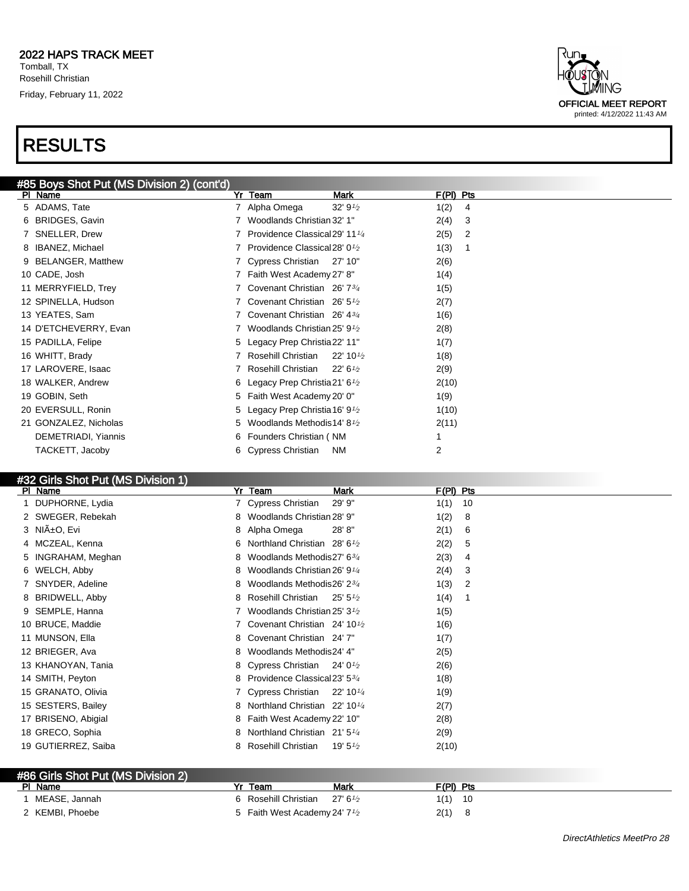

#### #32 Girls Shot Put (MS Division 1)

| $\frac{1}{2}$ and $\frac{1}{2}$ are $\frac{1}{2}$ and $\frac{1}{2}$ are $\frac{1}{2}$ and $\frac{1}{2}$<br>PI Name | Yr Team                                               | Mark                   | $F(PI)$ Pts |
|--------------------------------------------------------------------------------------------------------------------|-------------------------------------------------------|------------------------|-------------|
| 1 DUPHORNE, Lydia                                                                                                  | 7 Cypress Christian                                   | 29' 9"                 | 1(1)<br>10  |
| 2 SWEGER, Rebekah                                                                                                  | Woodlands Christian 28' 9"<br>8                       |                        | 1(2)<br>8   |
| 3 NIñO, Evi                                                                                                        | Alpha Omega<br>8                                      | 28'8"                  | 2(1)<br>6   |
| 4 MCZEAL, Kenna                                                                                                    | Northland Christian $28'6\frac{1}{2}$<br>6            |                        | 2(2)<br>5   |
| 5 INGRAHAM, Meghan                                                                                                 | Woodlands Methodis27' 634<br>8                        |                        | 2(3)<br>4   |
| 6 WELCH, Abby                                                                                                      | Woodlands Christian 26' 9 <sup>1/4</sup><br>8         |                        | 2(4)<br>3   |
| 7 SNYDER, Adeline                                                                                                  | Woodlands Methodis26' 234<br>8                        |                        | 1(3)<br>2   |
| 8 BRIDWELL, Abby                                                                                                   | Rosehill Christian<br>8                               | $25'5\%$               | 1(4)        |
| 9 SEMPLE, Hanna                                                                                                    | Woodlands Christian 25' 3 <sup>1</sup> / <sub>2</sub> |                        | 1(5)        |
| 10 BRUCE, Maddie                                                                                                   | Covenant Christian $24' 10\frac{1}{2}$                |                        | 1(6)        |
| 11 MUNSON, Ella                                                                                                    | Covenant Christian 24' 7"<br>8                        |                        | 1(7)        |
| 12 BRIEGER, Ava                                                                                                    | Woodlands Methodis24' 4"<br>8                         |                        | 2(5)        |
| 13 KHANOYAN, Tania                                                                                                 | 8 Cypress Christian                                   | 24' 0 $\frac{1}{2}$    | 2(6)        |
| 14 SMITH, Peyton                                                                                                   | 8 Providence Classical 23' 534                        |                        | 1(8)        |
| 15 GRANATO, Olivia                                                                                                 | 7 Cypress Christian                                   | $22'$ 10 $\frac{1}{4}$ | 1(9)        |
| 15 SESTERS, Bailey                                                                                                 | Northland Christian $22'$ 10 $\frac{1}{4}$<br>8       |                        | 2(7)        |
| 17 BRISENO, Abigial                                                                                                | 8 Faith West Academy 22' 10"                          |                        | 2(8)        |
| 18 GRECO, Sophia                                                                                                   | Northland Christian 21' 5 <sup>1/4</sup><br>8         |                        | 2(9)        |
| 19 GUTIERREZ, Saiba                                                                                                | Rosehill Christian<br>8                               | 19' 5 $\frac{1}{2}$    | 2(10)       |

| #86 Girls Shot Put (MS Division 2) |                                                        |                    |            |
|------------------------------------|--------------------------------------------------------|--------------------|------------|
| PI Name                            | Team                                                   | Mark               | F(PI) Pts  |
| MEASE, Jannah                      | 6 Rosehill Christian                                   | $27' 6\frac{1}{2}$ | 1(1)<br>10 |
| 2 KEMBI, Phoebe                    | 5 Faith West Academy 24' 7 <sup>1</sup> / <sub>2</sub> |                    | 2(1)       |

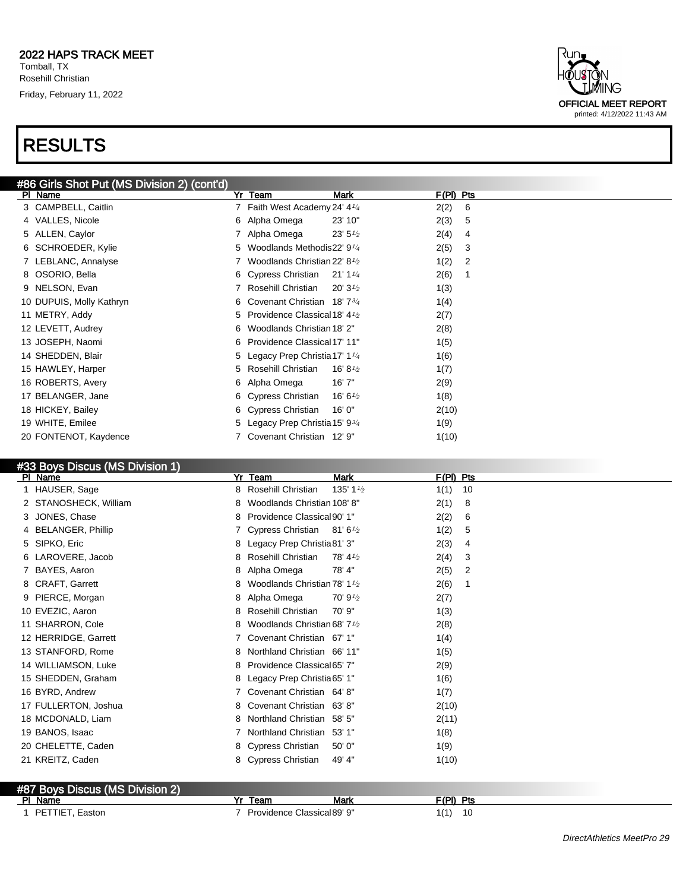

| #86 Girls Shot Put (MS Division 2) (cont'd) |    |                                                       |                     |             |   |
|---------------------------------------------|----|-------------------------------------------------------|---------------------|-------------|---|
| PI Name                                     |    | Yr Team                                               | Mark                | $F(PI)$ Pts |   |
| 3 CAMPBELL, Caitlin                         |    | 7 Faith West Academy 24' 4 <sup>1/4</sup>             |                     | 2(2)        | 6 |
| 4 VALLES, Nicole                            |    | 6 Alpha Omega                                         | 23' 10"             | 2(3)        | 5 |
| 5 ALLEN, Caylor                             |    | Alpha Omega                                           | $23' 5\frac{1}{2}$  | 2(4)        | 4 |
| 6 SCHROEDER, Kylie                          | 5. | Woodlands Methodis22' 9 <sup>1/4</sup>                |                     | 2(5)        | 3 |
| 7 LEBLANC, Annalyse                         |    | Woodlands Christian 22' 8 <sup>1</sup> / <sub>2</sub> |                     | 1(2)        | 2 |
| 8 OSORIO, Bella                             |    | 6 Cypress Christian                                   | 21'1'4              | 2(6)        |   |
| 9 NELSON, Evan                              |    | Rosehill Christian                                    | 20'3'2              | 1(3)        |   |
| 10 DUPUIS, Molly Kathryn                    |    | 6 Covenant Christian 18'7 <sup>3/4</sup>              |                     | 1(4)        |   |
| 11 METRY, Addy                              | 5. | Providence Classical 18' 4 $\frac{1}{2}$              |                     | 2(7)        |   |
| 12 LEVETT, Audrey                           | 6  | Woodlands Christian 18' 2"                            |                     | 2(8)        |   |
| 13 JOSEPH, Naomi                            | 6. | Providence Classical 17' 11"                          |                     | 1(5)        |   |
| 14 SHEDDEN, Blair                           |    | 5 Legacy Prep Christia 17' 1 <sup>1/4</sup>           |                     | 1(6)        |   |
| 15 HAWLEY, Harper                           | 5. | Rosehill Christian                                    | 16' 8 $\frac{1}{2}$ | 1(7)        |   |
| 16 ROBERTS, Avery                           |    | 6 Alpha Omega                                         | 16' 7"              | 2(9)        |   |
| 17 BELANGER, Jane                           |    | 6 Cypress Christian                                   | 16' 6 $\frac{1}{2}$ | 1(8)        |   |
| 18 HICKEY, Bailey                           |    | 6 Cypress Christian                                   | 16'0''              | 2(10)       |   |
| 19 WHITE, Emilee                            |    | 5 Legacy Prep Christia 15' 93/4                       |                     | 1(9)        |   |
| 20 FONTENOT, Kaydence                       |    | Covenant Christian 12' 9"                             |                     | 1(10)       |   |
|                                             |    |                                                       |                     |             |   |

#### #33 Boys Discus (MS Division 1)

| PI Name               | Yr<br>Team<br><b>Mark</b>                                  | F(PI) Pts                          |
|-----------------------|------------------------------------------------------------|------------------------------------|
| HAUSER, Sage          | Rosehill Christian<br>8                                    | 135' 1 $\frac{1}{2}$<br>1(1)<br>10 |
| 2 STANOSHECK, William | Woodlands Christian 108' 8"<br>8                           | 2(1)<br>8                          |
| 3 JONES, Chase        | Providence Classical 90' 1"<br>8                           | 2(2)<br>6                          |
| 4 BELANGER, Phillip   | Cypress Christian $81'6\frac{1}{2}$                        | 1(2)<br>5                          |
| 5 SIPKO, Eric         | 8 Legacy Prep Christia 81' 3"                              | 2(3)<br>4                          |
| 6 LAROVERE, Jacob     | Rosehill Christian<br>$78' 4\frac{1}{2}$<br>8              | 2(4)<br>3                          |
| 7 BAYES, Aaron        | Alpha Omega<br>78' 4"<br>8                                 | 2(5)<br>2                          |
| 8 CRAFT, Garrett      | Woodlands Christian 78' 1 <sup>1</sup> / <sub>2</sub><br>8 | 2(6)                               |
| PIERCE, Morgan<br>9   | Alpha Omega<br>70' 91/2<br>8.                              | 2(7)                               |
| 10 EVEZIC, Aaron      | Rosehill Christian<br>70'9"<br>8                           | 1(3)                               |
| 11 SHARRON, Cole      | Woodlands Christian 68' 7 <sup>1</sup> / <sub>2</sub><br>8 | 2(8)                               |
| 12 HERRIDGE, Garrett  | Covenant Christian 67' 1"                                  | 1(4)                               |
| 13 STANFORD, Rome     | Northland Christian 66' 11"<br>8                           | 1(5)                               |
| 14 WILLIAMSON, Luke   | Providence Classical 65' 7"<br>8                           | 2(9)                               |
| 15 SHEDDEN, Graham    | Legacy Prep Christia 65' 1"<br>8.                          | 1(6)                               |
| 16 BYRD, Andrew       | Covenant Christian 64' 8"                                  | 1(7)                               |
| 17 FULLERTON, Joshua  | Covenant Christian 63'8"<br>8                              | 2(10)                              |
| 18 MCDONALD, Liam     | Northland Christian<br>8<br>58' 5"                         | 2(11)                              |
| 19 BANOS, Isaac       | Northland Christian<br>53' 1"                              | 1(8)                               |
| 20 CHELETTE, Caden    | 8 Cypress Christian<br>50' 0"                              | 1(9)                               |
| 21 KREITZ, Caden      | Cypress Christian<br>49' 4"<br>8                           | 1(10)                              |
|                       |                                                            |                                    |

#### #87 Boys Discus (MS Division 2) PI Name **Yr Team Mark F(PI)** Pts **F(PI)** Pts 1 PETTIET, Easton 10 10 2010 10 2010 10 2010 10 2010 10 2010 10 2010 10 2010 10 2010 10 2010 10 2010 10 2010 10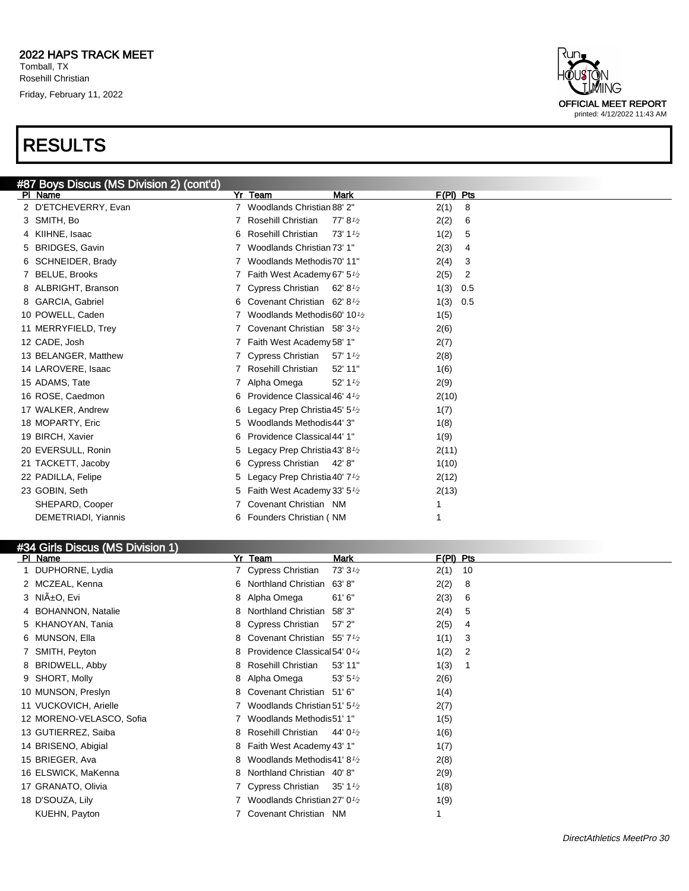

#### #34 Girls Discus (MS Division 1)

| Yr Team<br><b>Mark</b>                                   | $F(PI)$ Pts            |
|----------------------------------------------------------|------------------------|
| 7 Cypress Christian<br>73' 31/2                          | 2(1)<br>10             |
| Northland Christian<br>63' 8''<br>6                      | 2(2)<br>8              |
| 8 Alpha Omega<br>61'6''                                  | 2(3)<br>6              |
| Northland Christian<br>58' 3"<br>8                       | 2(4)<br>5              |
| 8 Cypress Christian<br>$57'$ 2"                          | 2(5)<br>4              |
| Covenant Christian $55'7\frac{1}{2}$<br>8                | 1(1)<br>3              |
| Providence Classical 54' 0 <sup>1/4</sup><br>8           | 1(2)<br>$\overline{2}$ |
| Rosehill Christian<br>53' 11"<br>8                       | 1(3)                   |
| Alpha Omega<br>53' $5\frac{1}{2}$<br>8                   | 2(6)                   |
| Covenant Christian<br>51'6''<br>8                        | 1(4)                   |
| Woodlands Christian 51' 5 <sup>1</sup> / <sub>2</sub>    | 2(7)                   |
| Woodlands Methodis51' 1"                                 | 1(5)                   |
| Rosehill Christian<br>44' 0 <sup>1/2</sup><br>8          | 1(6)                   |
| Faith West Academy 43' 1"<br>8                           | 1(7)                   |
| Woodlands Methodis41' 8 <sup>1</sup> / <sub>2</sub><br>8 | 2(8)                   |
| 8 Northland Christian 40'8"                              | 2(9)                   |
| 7 Cypress Christian<br>$35' 1\frac{1}{2}$                | 1(8)                   |
| Woodlands Christian 27' 0 <sup>1</sup> / <sub>2</sub>    | 1(9)                   |
| Covenant Christian NM                                    |                        |
|                                                          |                        |

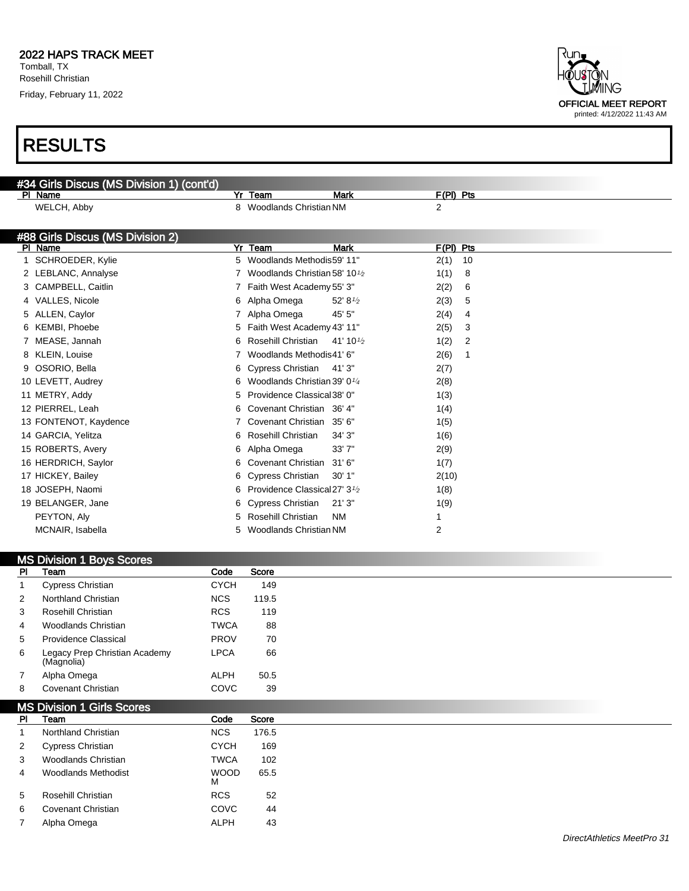7 Alpha Omega ALPH 43

Tomball, TX Rosehill Christian

Friday, February 11, 2022

| HÕUSTÕN<br><b>LMING</b>                                    |
|------------------------------------------------------------|
| <b>OFFICIAL MEET REPORT</b><br>printed: 4/12/2022 11:43 AM |
|                                                            |

|    | #34 Girls Discus (MS Division 1) (cont'd) |    |                                            |                      |                |    |
|----|-------------------------------------------|----|--------------------------------------------|----------------------|----------------|----|
|    | PI Name                                   |    | Yr Team                                    | <b>Mark</b>          | $F(PI)$ Pts    |    |
|    | WELCH, Abby                               |    | 8 Woodlands Christian NM                   |                      | $\overline{2}$ |    |
|    |                                           |    |                                            |                      |                |    |
|    | #88 Girls Discus (MS Division 2)          |    |                                            |                      |                |    |
|    | PI Name                                   | Yr | Team                                       | <b>Mark</b>          | F(PI) Pts      |    |
|    | SCHROEDER, Kylie                          | 5. | Woodlands Methodis59' 11"                  |                      | 2(1)           | 10 |
|    | 2 LEBLANC, Annalyse                       |    | Woodlands Christian 58' 10 <sup>1</sup> /2 |                      | 1(1)           | 8  |
|    | 3 CAMPBELL, Caitlin                       |    | Faith West Academy 55' 3"                  |                      | 2(2)           | 6  |
|    | 4 VALLES, Nicole                          | 6  | Alpha Omega                                | 52' 81/2             | 2(3)           | 5  |
| 5. | ALLEN, Caylor                             |    | Alpha Omega                                | 45' 5"               | 2(4)           | 4  |
| 6  | KEMBI, Phoebe                             | 5  | Faith West Academy 43' 11"                 |                      | 2(5)           | 3  |
|    | MEASE, Jannah                             | 6  | Rosehill Christian                         | 41' 10 $\frac{1}{2}$ | 1(2)           | 2  |
|    | <b>KLEIN, Louise</b>                      |    | Woodlands Methodis41' 6"                   |                      | 2(6)           | 1  |
|    | OSORIO, Bella                             | 6  | <b>Cypress Christian</b>                   | 41'3"                | 2(7)           |    |
|    | 10 LEVETT, Audrey                         | 6  | Woodlands Christian 39' 01/4               |                      | 2(8)           |    |
|    | 11 METRY, Addy                            | 5  | Providence Classical 38' 0"                |                      | 1(3)           |    |
|    | 12 PIERREL, Leah                          | 6  | Covenant Christian 36' 4"                  |                      | 1(4)           |    |
|    | 13 FONTENOT, Kaydence                     |    | Covenant Christian                         | 35'6''               | 1(5)           |    |
|    | 14 GARCIA, Yelitza                        | 6  | Rosehill Christian                         | 34'3''               | 1(6)           |    |
|    | 15 ROBERTS, Avery                         | 6  | Alpha Omega                                | 33'7"                | 2(9)           |    |
|    | 16 HERDRICH, Saylor                       | 6  | Covenant Christian                         | 31'6''               | 1(7)           |    |
|    | 17 HICKEY, Bailey                         | 6  | <b>Cypress Christian</b>                   | 30'1"                | 2(10)          |    |
|    | 18 JOSEPH, Naomi                          | 6  | Providence Classical 27' 3 <sup>1/2</sup>  |                      | 1(8)           |    |
|    | 19 BELANGER, Jane                         | 6  | <b>Cypress Christian</b>                   | 21'3''               | 1(9)           |    |
|    | PEYTON, Aly                               | 5  | Rosehill Christian                         | <b>NM</b>            |                |    |
|    | MCNAIR, Isabella                          | 5  | Woodlands Christian NM                     |                      | 2              |    |
|    |                                           |    |                                            |                      |                |    |

|           | <b>MS Division 1 Boys Scores</b>            |                  |              |
|-----------|---------------------------------------------|------------------|--------------|
| <b>PI</b> | Team                                        | Code             | <b>Score</b> |
|           | <b>Cypress Christian</b>                    | <b>CYCH</b>      | 149          |
| 2         | <b>Northland Christian</b>                  | <b>NCS</b>       | 119.5        |
| 3         | Rosehill Christian                          | <b>RCS</b>       | 119          |
| 4         | <b>Woodlands Christian</b>                  | <b>TWCA</b>      | 88           |
| 5         | <b>Providence Classical</b>                 | <b>PROV</b>      | 70           |
| 6         | Legacy Prep Christian Academy<br>(Magnolia) | <b>LPCA</b>      | 66           |
| 7         | Alpha Omega                                 | ALPH             | 50.5         |
| 8         | <b>Covenant Christian</b>                   | COVC             | 39           |
|           | <b>MS Division 1 Girls Scores</b>           |                  |              |
| <b>PI</b> | Team                                        | Code             | Score        |
|           | Northland Christian                         | <b>NCS</b>       | 176.5        |
| 2         | Cypress Christian                           | <b>CYCH</b>      | 169          |
| 3         | Woodlands Christian                         | TWCA             | 102          |
| 4         | <b>Woodlands Methodist</b>                  | <b>WOOD</b><br>м | 65.5         |
| 5         | Rosehill Christian                          | <b>RCS</b>       | 52           |
| 6         | <b>Covenant Christian</b>                   | COVC             | 44           |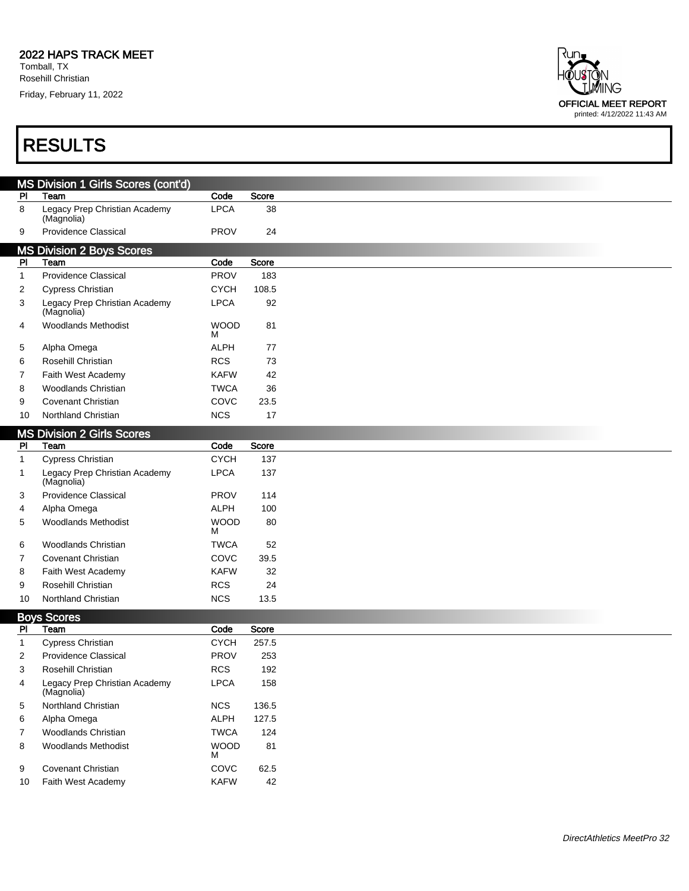Tomball, TX Rosehill Christian

Friday, February 11, 2022

| ₹un.<br>HÕUSTÔN<br>TIMING                                  |
|------------------------------------------------------------|
| <b>OFFICIAL MEET REPORT</b><br>printed: 4/12/2022 11:43 AM |

|                | MS Division 1 Girls Scores (cont'd)         |                  |       |
|----------------|---------------------------------------------|------------------|-------|
| PI             | Team                                        | Code             | Score |
| 8              | Legacy Prep Christian Academy<br>(Magnolia) | <b>LPCA</b>      | 38    |
| 9              | Providence Classical                        | <b>PROV</b>      | 24    |
|                | <b>MS Division 2 Boys Scores</b>            |                  |       |
| <b>PI</b>      | Team                                        | Code             | Score |
| $\mathbf{1}$   | <b>Providence Classical</b>                 | <b>PROV</b>      | 183   |
| 2              | <b>Cypress Christian</b>                    | <b>CYCH</b>      | 108.5 |
| 3              | Legacy Prep Christian Academy<br>(Magnolia) | <b>LPCA</b>      | 92    |
| 4              | <b>Woodlands Methodist</b>                  | <b>WOOD</b><br>м | 81    |
| 5              | Alpha Omega                                 | <b>ALPH</b>      | 77    |
| 6              | Rosehill Christian                          | <b>RCS</b>       | 73    |
| 7              | Faith West Academy                          | <b>KAFW</b>      | 42    |
| 8              | <b>Woodlands Christian</b>                  | <b>TWCA</b>      | 36    |
| 9              | <b>Covenant Christian</b>                   | COVC             | 23.5  |
| 10             | Northland Christian                         | <b>NCS</b>       | 17    |
|                | <b>MS Division 2 Girls Scores</b>           |                  |       |
| P <sub>1</sub> | Team                                        | Code             | Score |
| $\mathbf{1}$   | Cypress Christian                           | <b>CYCH</b>      | 137   |
| 1              | Legacy Prep Christian Academy<br>(Magnolia) | <b>LPCA</b>      | 137   |
| 3              | <b>Providence Classical</b>                 | <b>PROV</b>      | 114   |
| 4              | Alpha Omega                                 | <b>ALPH</b>      | 100   |
| 5              | <b>Woodlands Methodist</b>                  | <b>WOOD</b><br>м | 80    |
| 6              | <b>Woodlands Christian</b>                  | <b>TWCA</b>      | 52    |
| 7              | <b>Covenant Christian</b>                   | COVC             | 39.5  |
| 8              | Faith West Academy                          | <b>KAFW</b>      | 32    |
| 9              | Rosehill Christian                          | <b>RCS</b>       | 24    |
| 10             | Northland Christian                         | <b>NCS</b>       | 13.5  |
|                | <b>Boys Scores</b>                          |                  |       |
| PI             | Team                                        | Code             | Score |
| $\mathbf{1}$   | <b>Cypress Christian</b>                    | <b>CYCH</b>      | 257.5 |
| 2              | <b>Providence Classical</b>                 | <b>PROV</b>      | 253   |
| 3              | Rosehill Christian                          | <b>RCS</b>       | 192   |
| 4              | Legacy Prep Christian Academy<br>(Magnolia) | <b>LPCA</b>      | 158   |
| 5              | Northland Christian                         | <b>NCS</b>       | 136.5 |
| 6              | Alpha Omega                                 | ALPH             | 127.5 |
| 7              | Woodlands Christian                         | <b>TWCA</b>      | 124   |
| 8              | <b>Woodlands Methodist</b>                  | <b>WOOD</b><br>М | 81    |
| 9              | Covenant Christian                          | COVC             | 62.5  |
| 10             | Faith West Academy                          | <b>KAFW</b>      | 42    |
|                |                                             |                  |       |